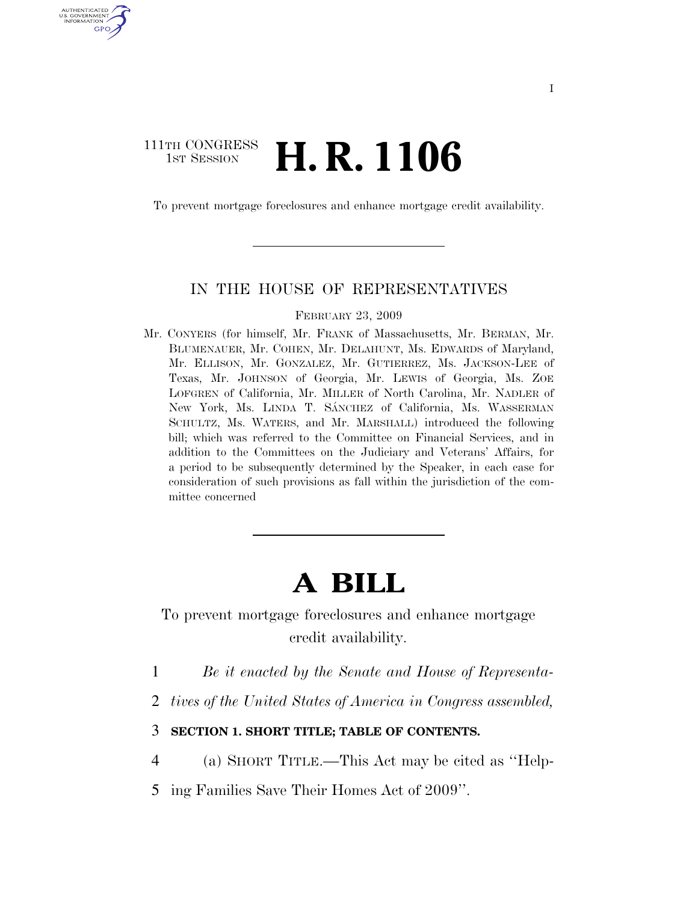# 111TH CONGRESS **1st Session H. R. 1106**

U.S. GOVERNMENT GPO

To prevent mortgage foreclosures and enhance mortgage credit availability.

#### IN THE HOUSE OF REPRESENTATIVES

FEBRUARY 23, 2009

Mr. CONYERS (for himself, Mr. FRANK of Massachusetts, Mr. BERMAN, Mr. BLUMENAUER, Mr. COHEN, Mr. DELAHUNT, Ms. EDWARDS of Maryland, Mr. ELLISON, Mr. GONZALEZ, Mr. GUTIERREZ, Ms. JACKSON-LEE of Texas, Mr. JOHNSON of Georgia, Mr. LEWIS of Georgia, Ms. ZOE LOFGREN of California, Mr. MILLER of North Carolina, Mr. NADLER of New York, Ms. LINDA T. SÁNCHEZ of California, Ms. WASSERMAN SCHULTZ, Ms. WATERS, and Mr. MARSHALL) introduced the following bill; which was referred to the Committee on Financial Services, and in addition to the Committees on the Judiciary and Veterans' Affairs, for a period to be subsequently determined by the Speaker, in each case for consideration of such provisions as fall within the jurisdiction of the committee concerned

# **A BILL**

To prevent mortgage foreclosures and enhance mortgage credit availability.

1 *Be it enacted by the Senate and House of Representa-*

2 *tives of the United States of America in Congress assembled,* 

#### 3 **SECTION 1. SHORT TITLE; TABLE OF CONTENTS.**

4 (a) SHORT TITLE.—This Act may be cited as ''Help-

5 ing Families Save Their Homes Act of 2009''.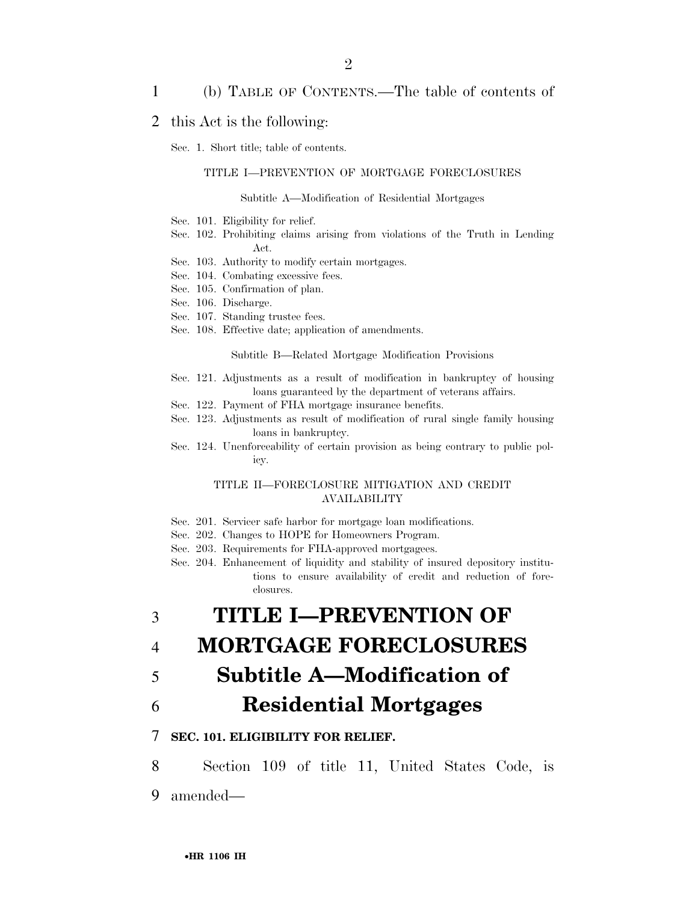# 1 (b) TABLE OF CONTENTS.—The table of contents of

### 2 this Act is the following:

Sec. 1. Short title; table of contents.

#### TITLE I—PREVENTION OF MORTGAGE FORECLOSURES

#### Subtitle A—Modification of Residential Mortgages

- Sec. 101. Eligibility for relief.
- Sec. 102. Prohibiting claims arising from violations of the Truth in Lending Act.
- Sec. 103. Authority to modify certain mortgages.
- Sec. 104. Combating excessive fees.
- Sec. 105. Confirmation of plan.
- Sec. 106. Discharge.
- Sec. 107. Standing trustee fees.
- Sec. 108. Effective date; application of amendments.

Subtitle B—Related Mortgage Modification Provisions

- Sec. 121. Adjustments as a result of modification in bankruptcy of housing loans guaranteed by the department of veterans affairs.
- Sec. 122. Payment of FHA mortgage insurance benefits.
- Sec. 123. Adjustments as result of modification of rural single family housing loans in bankruptcy.
- Sec. 124. Unenforceability of certain provision as being contrary to public policy.

#### TITLE II—FORECLOSURE MITIGATION AND CREDIT AVAILABILITY

- Sec. 201. Servicer safe harbor for mortgage loan modifications.
- Sec. 202. Changes to HOPE for Homeowners Program.
- Sec. 203. Requirements for FHA-approved mortgagees.
- Sec. 204. Enhancement of liquidity and stability of insured depository institutions to ensure availability of credit and reduction of foreclosures.

3 **TITLE I—PREVENTION OF** 

- 4 **MORTGAGE FORECLOSURES**
- 5 **Subtitle A—Modification of**
- 6 **Residential Mortgages**

### 7 **SEC. 101. ELIGIBILITY FOR RELIEF.**

8 Section 109 of title 11, United States Code, is 9 amended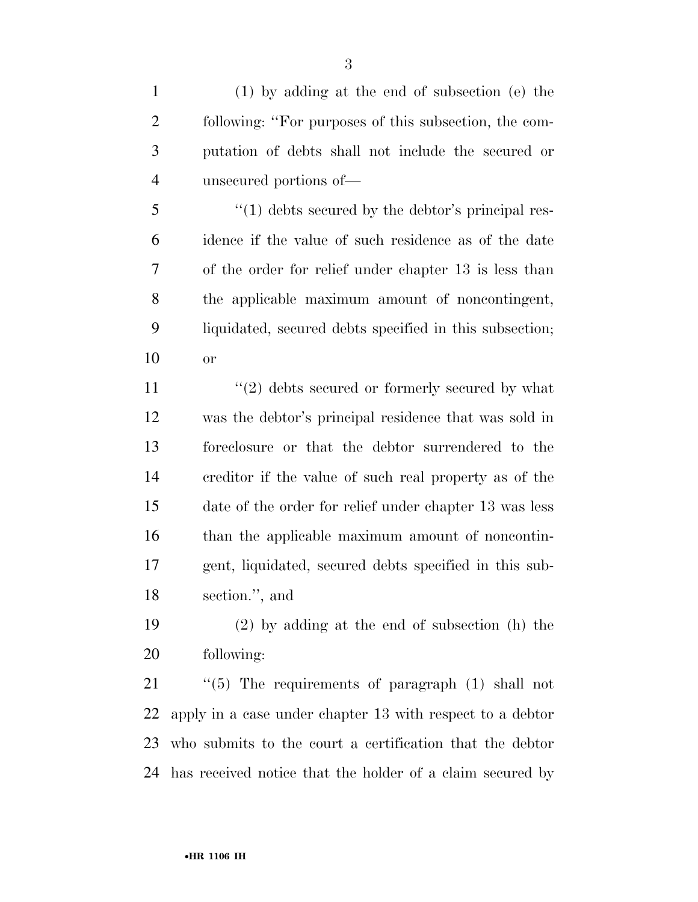(1) by adding at the end of subsection (e) the following: ''For purposes of this subsection, the com- putation of debts shall not include the secured or unsecured portions of—

 $\frac{1}{2}$   $\frac{1}{2}$   $\frac{1}{2}$  debts secured by the debtor's principal res- idence if the value of such residence as of the date of the order for relief under chapter 13 is less than the applicable maximum amount of noncontingent, liquidated, secured debts specified in this subsection; or

 $\frac{1}{2}$  debts secured or formerly secured by what was the debtor's principal residence that was sold in foreclosure or that the debtor surrendered to the creditor if the value of such real property as of the date of the order for relief under chapter 13 was less than the applicable maximum amount of noncontin- gent, liquidated, secured debts specified in this sub-section.'', and

 (2) by adding at the end of subsection (h) the following:

 ''(5) The requirements of paragraph (1) shall not apply in a case under chapter 13 with respect to a debtor who submits to the court a certification that the debtor has received notice that the holder of a claim secured by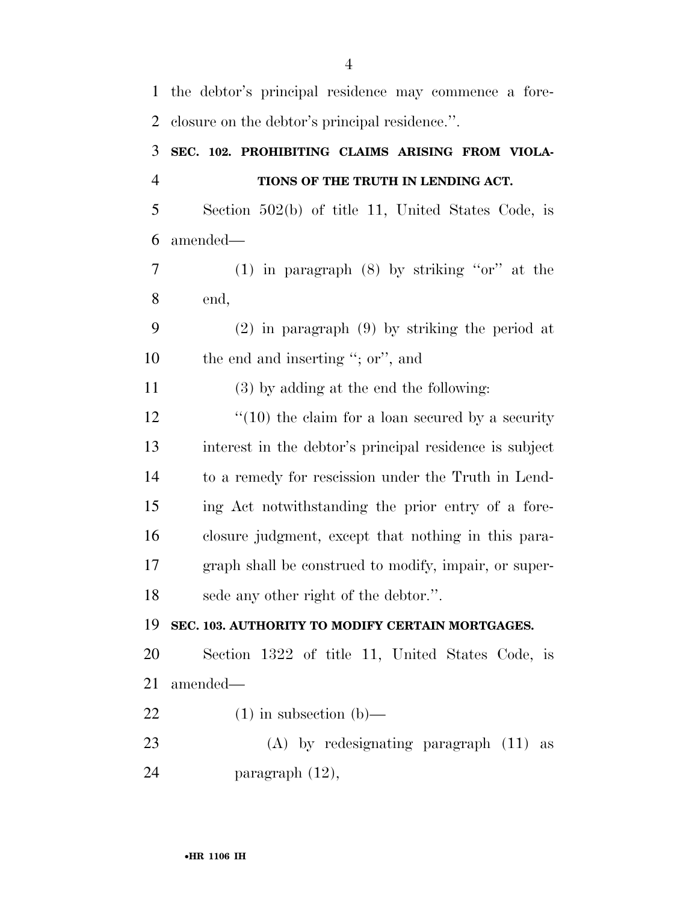| $\mathbf{1}$   | the debtor's principal residence may commence a fore-     |
|----------------|-----------------------------------------------------------|
| $\overline{2}$ | closure on the debtor's principal residence.".            |
| 3              | SEC. 102. PROHIBITING CLAIMS ARISING FROM VIOLA-          |
| $\overline{4}$ | TIONS OF THE TRUTH IN LENDING ACT.                        |
| 5              | Section 502(b) of title 11, United States Code, is        |
| 6              | amended—                                                  |
| 7              | $(1)$ in paragraph $(8)$ by striking "or" at the          |
| 8              | end,                                                      |
| 9              | $(2)$ in paragraph $(9)$ by striking the period at        |
| 10             | the end and inserting "; or", and                         |
| 11             | $(3)$ by adding at the end the following:                 |
| 12             | $\degree$ (10) the claim for a loan secured by a security |
| 13             | interest in the debtor's principal residence is subject   |
| 14             | to a remedy for rescission under the Truth in Lend-       |
| 15             | ing Act notwithstanding the prior entry of a fore-        |
| 16             | closure judgment, except that nothing in this para-       |
| 17             | graph shall be construed to modify, impair, or super-     |
| 18             | sede any other right of the debtor.".                     |
| 19             | SEC. 103. AUTHORITY TO MODIFY CERTAIN MORTGAGES.          |
| 20             | Section 1322 of title 11, United States Code, is          |
| 21             | amended—                                                  |
| 22             | $(1)$ in subsection $(b)$ —                               |
| 23             | $(A)$ by redesignating paragraph $(11)$ as                |
| 24             | paragraph $(12)$ ,                                        |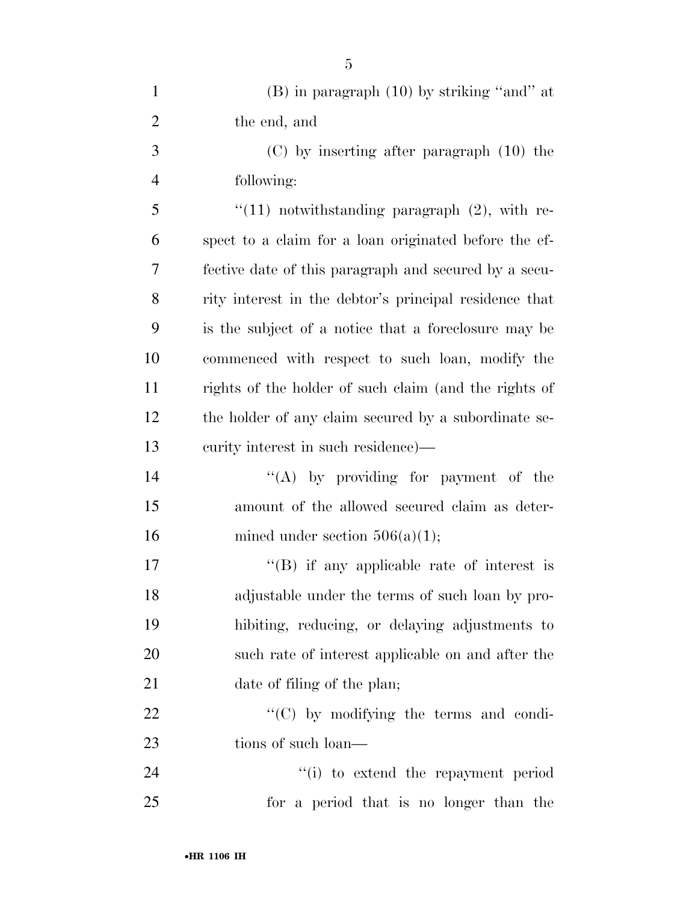| $\mathbf{1}$   | $(B)$ in paragraph $(10)$ by striking "and" at         |
|----------------|--------------------------------------------------------|
| $\overline{2}$ | the end, and                                           |
| 3              | $(C)$ by inserting after paragraph $(10)$ the          |
| $\overline{4}$ | following:                                             |
| 5              | $\lq(11)$ notwithstanding paragraph $(2)$ , with re-   |
| 6              | spect to a claim for a loan originated before the ef-  |
| 7              | fective date of this paragraph and secured by a secu-  |
| 8              | rity interest in the debtor's principal residence that |
| 9              | is the subject of a notice that a foreclosure may be   |
| 10             | commenced with respect to such loan, modify the        |
| 11             | rights of the holder of such claim (and the rights of  |
| 12             | the holder of any claim secured by a subordinate se-   |
| 13             | eurity interest in such residence)—                    |
| 14             | "(A) by providing for payment of the                   |
| 15             | amount of the allowed secured claim as deter-          |
| 16             | mined under section $506(a)(1)$ ;                      |
| 17             | $\lq\lq$ if any applicable rate of interest is         |
| 18             | adjustable under the terms of such loan by pro-        |
| 19             | hibiting, reducing, or delaying adjustments to         |
| 20             | such rate of interest applicable on and after the      |
| 21             | date of filing of the plan;                            |
| 22             | "(C) by modifying the terms and condi-                 |
| 23             | tions of such loan—                                    |
| 24             | "(i) to extend the repayment period                    |
| 25             | for a period that is no longer than the                |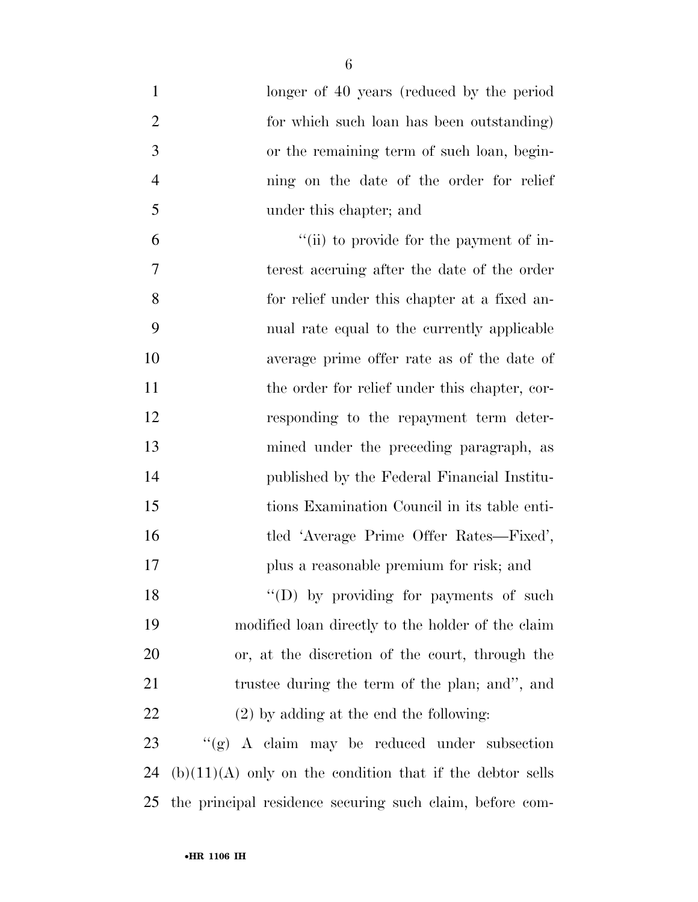| $\mathbf{1}$   | longer of 40 years (reduced by the period                   |
|----------------|-------------------------------------------------------------|
| $\overline{2}$ | for which such loan has been outstanding)                   |
| 3              | or the remaining term of such loan, begin-                  |
| $\overline{4}$ | ning on the date of the order for relief                    |
| 5              | under this chapter; and                                     |
| 6              | "(ii) to provide for the payment of in-                     |
| 7              | terest accruing after the date of the order                 |
| 8              | for relief under this chapter at a fixed an-                |
| 9              | nual rate equal to the currently applicable                 |
| 10             | average prime offer rate as of the date of                  |
| 11             | the order for relief under this chapter, cor-               |
| 12             | responding to the repayment term deter-                     |
| 13             | mined under the preceding paragraph, as                     |
| 14             | published by the Federal Financial Institu-                 |
| 15             | tions Examination Council in its table enti-                |
| 16             | tled 'Average Prime Offer Rates—Fixed',                     |
| $17\,$         | plus a reasonable premium for risk; and                     |
| 18             | "(D) by providing for payments of such                      |
| 19             | modified loan directly to the holder of the claim           |
| 20             | or, at the discretion of the court, through the             |
| 21             | trustee during the term of the plan; and", and              |
| 22             | $(2)$ by adding at the end the following:                   |
| 23             | " $(g)$ A claim may be reduced under subsection             |
| 24             | $(b)(11)(A)$ only on the condition that if the debtor sells |
| 25             | the principal residence securing such claim, before com-    |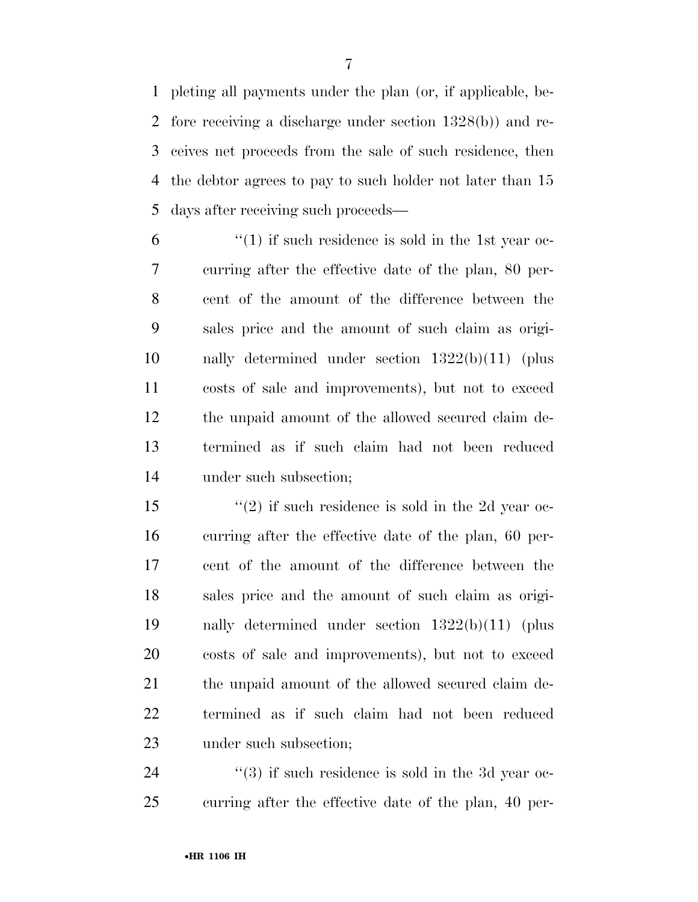pleting all payments under the plan (or, if applicable, be- fore receiving a discharge under section 1328(b)) and re- ceives net proceeds from the sale of such residence, then the debtor agrees to pay to such holder not later than 15 days after receiving such proceeds—

 $(1)$  if such residence is sold in the 1st year oc- curring after the effective date of the plan, 80 per- cent of the amount of the difference between the sales price and the amount of such claim as origi- nally determined under section 1322(b)(11) (plus costs of sale and improvements), but not to exceed the unpaid amount of the allowed secured claim de- termined as if such claim had not been reduced under such subsection;

15 ''(2) if such residence is sold in the 2d year oc- curring after the effective date of the plan, 60 per- cent of the amount of the difference between the sales price and the amount of such claim as origi- nally determined under section 1322(b)(11) (plus costs of sale and improvements), but not to exceed the unpaid amount of the allowed secured claim de- termined as if such claim had not been reduced under such subsection;

24 ''(3) if such residence is sold in the 3d year oc-curring after the effective date of the plan, 40 per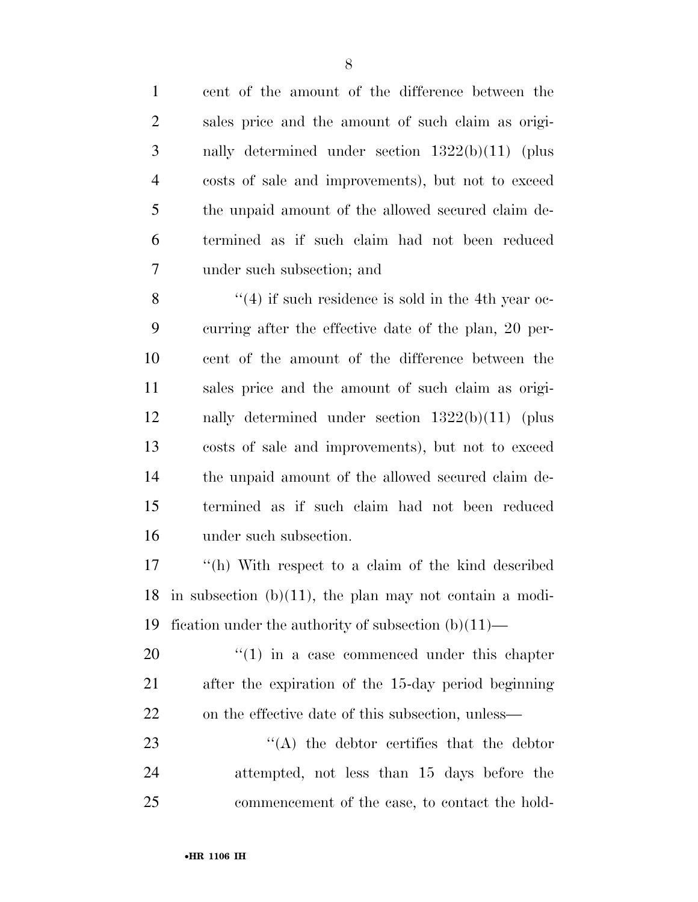cent of the amount of the difference between the

| $\overline{2}$ | sales price and the amount of such claim as origi-         |
|----------------|------------------------------------------------------------|
| 3              | nally determined under section $1322(b)(11)$ (plus         |
| $\overline{4}$ | costs of sale and improvements), but not to exceed         |
| 5              | the unpaid amount of the allowed secured claim de-         |
| 6              | termined as if such claim had not been reduced             |
| 7              | under such subsection; and                                 |
| 8              | $(4)$ if such residence is sold in the 4th year oc-        |
| 9              | curring after the effective date of the plan, 20 per-      |
| 10             | cent of the amount of the difference between the           |
| 11             | sales price and the amount of such claim as origi-         |
| 12             | nally determined under section $1322(b)(11)$ (plus         |
| 13             | costs of sale and improvements), but not to exceed         |
| 14             | the unpaid amount of the allowed secured claim de-         |
| 15             | termined as if such claim had not been reduced             |
| 16             | under such subsection.                                     |
| 17             | "(h) With respect to a claim of the kind described         |
| 18             | in subsection $(b)(11)$ , the plan may not contain a modi- |
|                | 19 fication under the authority of subsection $(b)(11)$ —  |
| 20             | $\cdot$ (1) in a case commenced under this chapter         |
| 21             | after the expiration of the 15-day period beginning        |
| 22             | on the effective date of this subsection, unless—          |
| 23             | $\lq\lq$ the debtor certifies that the debtor              |
| 24             | attempted, not less than 15 days before the                |
| 25             | commencement of the case, to contact the hold-             |
|                |                                                            |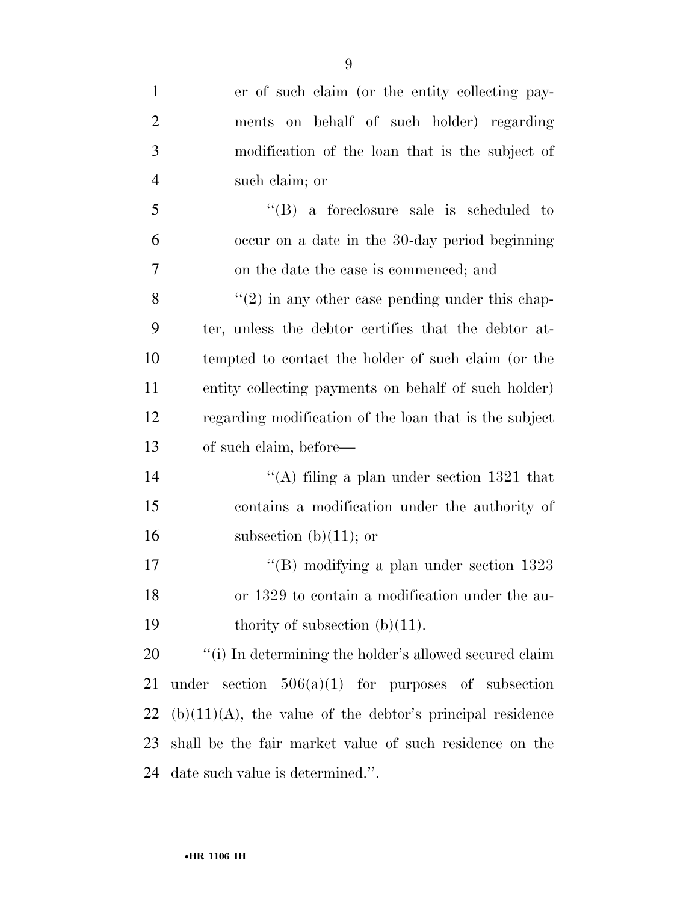| $\mathbf{1}$   | er of such claim (or the entity collecting pay-              |
|----------------|--------------------------------------------------------------|
| $\overline{2}$ | on behalf of such holder) regarding<br>ments                 |
| 3              | modification of the loan that is the subject of              |
| $\overline{4}$ | such claim; or                                               |
| 5              | $\lq\lq(B)$ a foreclosure sale is scheduled to               |
| 6              | occur on a date in the 30-day period beginning               |
| 7              | on the date the case is commenced; and                       |
| 8              | $"(2)$ in any other case pending under this chap-            |
| 9              | ter, unless the debtor certifies that the debtor at-         |
| 10             | tempted to contact the holder of such claim (or the          |
| 11             | entity collecting payments on behalf of such holder)         |
| 12             | regarding modification of the loan that is the subject       |
| 13             | of such claim, before—                                       |
| 14             | "(A) filing a plan under section $1321$ that                 |
| 15             | contains a modification under the authority of               |
| 16             | subsection $(b)(11)$ ; or                                    |
| 17             | "(B) modifying a plan under section $1323$                   |
| 18             | or 1329 to contain a modification under the au-              |
| 19             | thority of subsection $(b)(11)$ .                            |
| 20             | "(i) In determining the holder's allowed secured claim       |
| 21             | under section $506(a)(1)$ for purposes of subsection         |
| 22             | $(b)(11)(A)$ , the value of the debtor's principal residence |
| 23             | shall be the fair market value of such residence on the      |
| 24             | date such value is determined.".                             |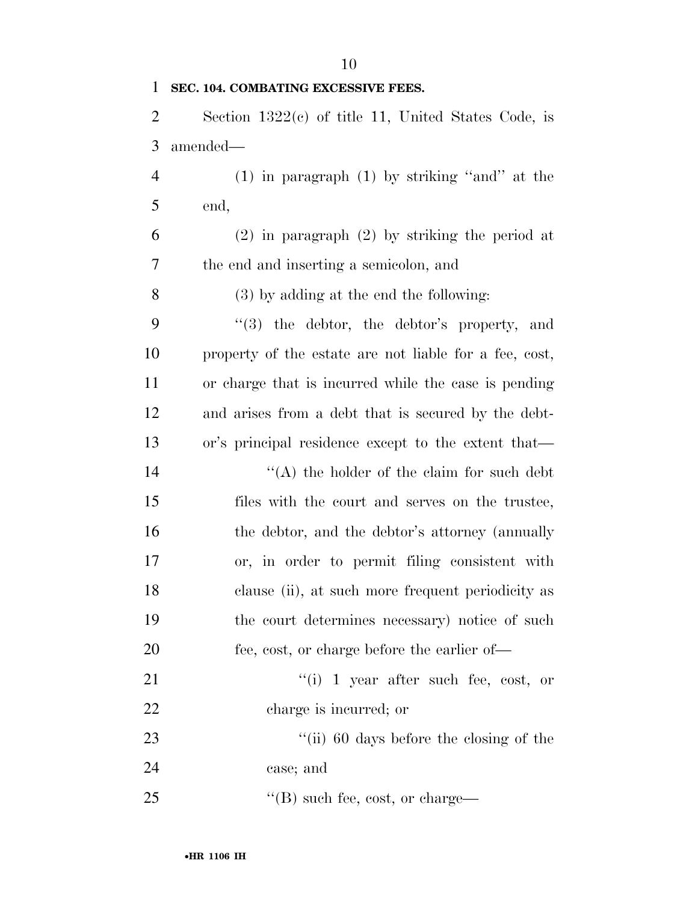# **SEC. 104. COMBATING EXCESSIVE FEES.**

 Section 1322(c) of title 11, United States Code, is amended—

 (1) in paragraph (1) by striking ''and'' at the end,

 (2) in paragraph (2) by striking the period at the end and inserting a semicolon, and

(3) by adding at the end the following:

 ''(3) the debtor, the debtor's property, and property of the estate are not liable for a fee, cost, or charge that is incurred while the case is pending and arises from a debt that is secured by the debt-or's principal residence except to the extent that—

 $\langle A \rangle$  the holder of the claim for such debt files with the court and serves on the trustee, 16 the debtor, and the debtor's attorney (annually or, in order to permit filing consistent with clause (ii), at such more frequent periodicity as the court determines necessary) notice of such 20 fee, cost, or charge before the earlier of-

21 ''(i) 1 year after such fee, cost, or charge is incurred; or

23 ''(ii) 60 days before the closing of the case; and

25  $\text{``(B)}$  such fee, cost, or charge—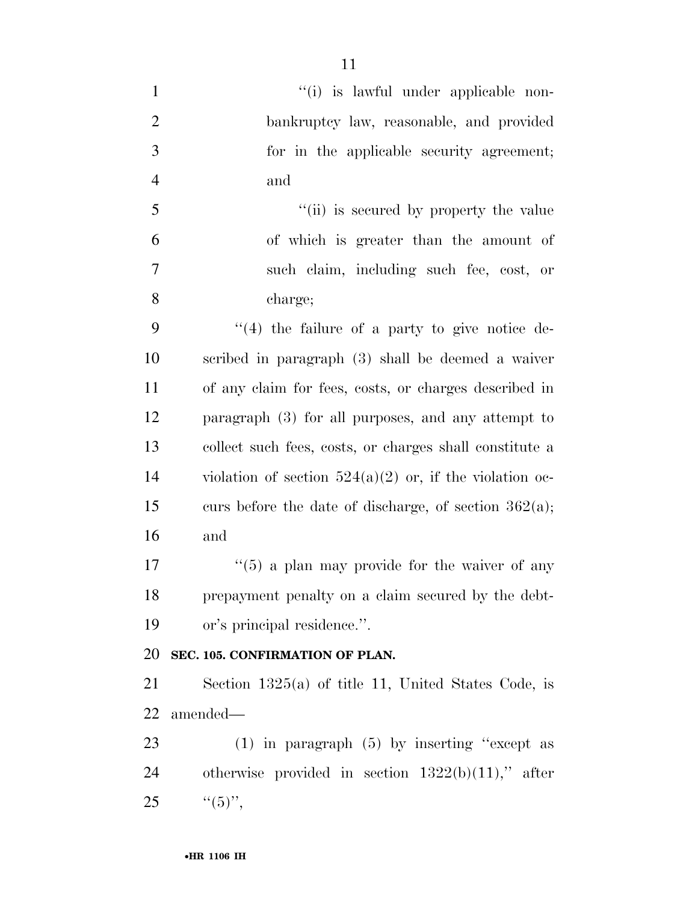- 1  $\frac{1}{1}$  ''(i) is lawful under applicable non- bankruptcy law, reasonable, and provided for in the applicable security agreement; and 5 "(ii) is secured by property the value
- of which is greater than the amount of such claim, including such fee, cost, or charge;

 ''(4) the failure of a party to give notice de- scribed in paragraph (3) shall be deemed a waiver of any claim for fees, costs, or charges described in paragraph (3) for all purposes, and any attempt to collect such fees, costs, or charges shall constitute a 14 violation of section  $524(a)(2)$  or, if the violation oc-15 curs before the date of discharge, of section  $362(a)$ ; and

 $\frac{17}{2}$  ''(5) a plan may provide for the waiver of any prepayment penalty on a claim secured by the debt-or's principal residence.''.

# **SEC. 105. CONFIRMATION OF PLAN.**

 Section 1325(a) of title 11, United States Code, is amended—

 (1) in paragraph (5) by inserting ''except as 24 otherwise provided in section  $1322(b)(11)$ ," after 25  $"({5})"$ ,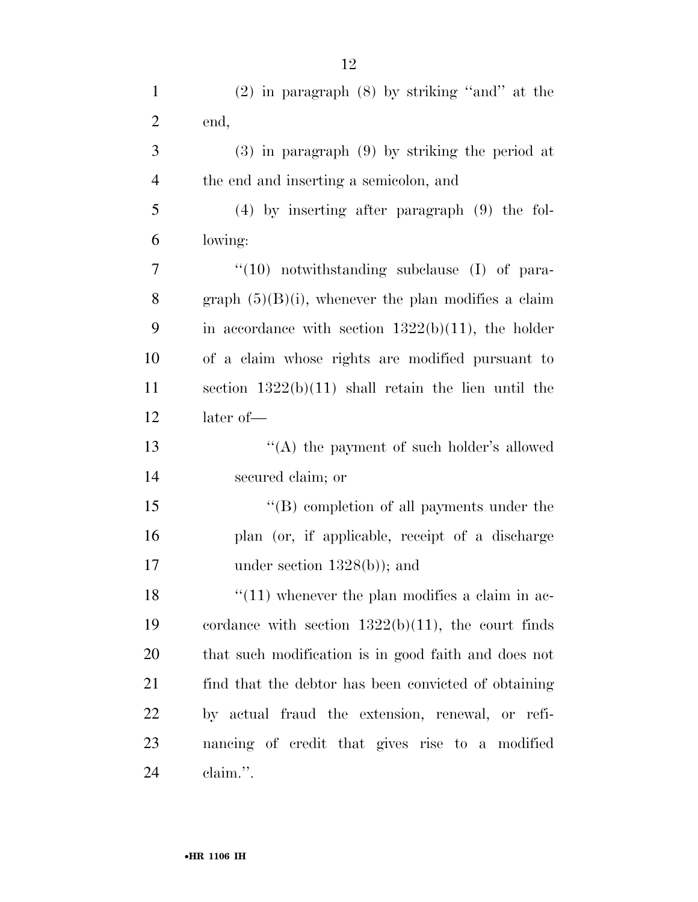| $\mathbf{1}$   | $(2)$ in paragraph $(8)$ by striking "and" at the      |
|----------------|--------------------------------------------------------|
| $\overline{2}$ | end,                                                   |
| 3              | $(3)$ in paragraph $(9)$ by striking the period at     |
| $\overline{4}$ | the end and inserting a semicolon, and                 |
| 5              | $(4)$ by inserting after paragraph $(9)$ the fol-      |
| 6              | lowing:                                                |
| 7              | $``(10)$ notwithstanding subclause (I) of para-        |
| 8              | graph $(5)(B)(i)$ , whenever the plan modifies a claim |
| 9              | in accordance with section $1322(b)(11)$ , the holder  |
| 10             | of a claim whose rights are modified pursuant to       |
| 11             | section $1322(b)(11)$ shall retain the lien until the  |
| 12             | later of-                                              |
| 13             | "(A) the payment of such holder's allowed              |
| 14             | secured claim; or                                      |
| 15             | $\lq\lq$ completion of all payments under the          |
| 16             | plan (or, if applicable, receipt of a discharge        |
| 17             | under section $1328(b)$ ; and                          |
| 18             | $\lq(11)$ whenever the plan modifies a claim in ac-    |
| 19             | cordance with section $1322(b)(11)$ , the court finds  |
| 20             | that such modification is in good faith and does not   |
| 21             | find that the debtor has been convicted of obtaining   |
| 22             | by actual fraud the extension, renewal, or refi-       |
| 23             | nancing of credit that gives rise to a modified        |
| 24             | claim.".                                               |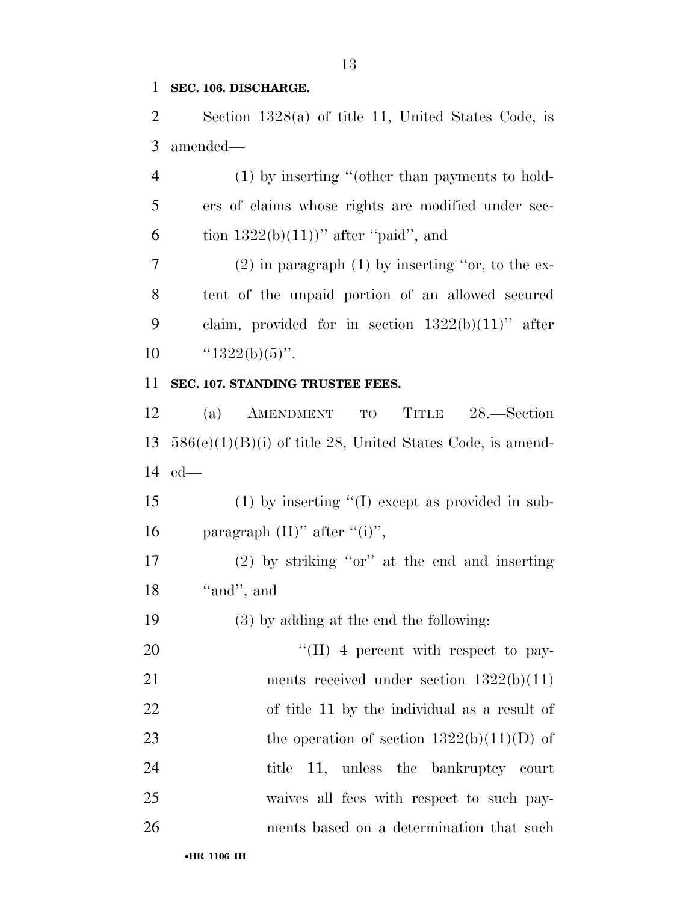## **SEC. 106. DISCHARGE.**

 Section 1328(a) of title 11, United States Code, is amended—

 (1) by inserting ''(other than payments to hold- ers of claims whose rights are modified under sec-6 tion  $1322(b)(11)$ " after "paid", and

 (2) in paragraph (1) by inserting ''or, to the ex- tent of the unpaid portion of an allowed secured 9 claim, provided for in section  $1322(b)(11)$ " after  $\text{``}1322(b)(5)\text{''}.$ 

#### **SEC. 107. STANDING TRUSTEE FEES.**

 (a) AMENDMENT TO TITLE 28.—Section 586(e)(1)(B)(i) of title 28, United States Code, is amend-ed—

 (1) by inserting ''(I) except as provided in sub-16 paragraph  $(II)$ " after " $(i)$ ",

 (2) by striking ''or'' at the end and inserting 18 "and", and

(3) by adding at the end the following:

20  $\text{``(II)}$  4 percent with respect to pay-21 ments received under section  $1322(b)(11)$  of title 11 by the individual as a result of 23 the operation of section  $1322(b)(11)(D)$  of 24 title 11, unless the bankruptcy court waives all fees with respect to such pay-ments based on a determination that such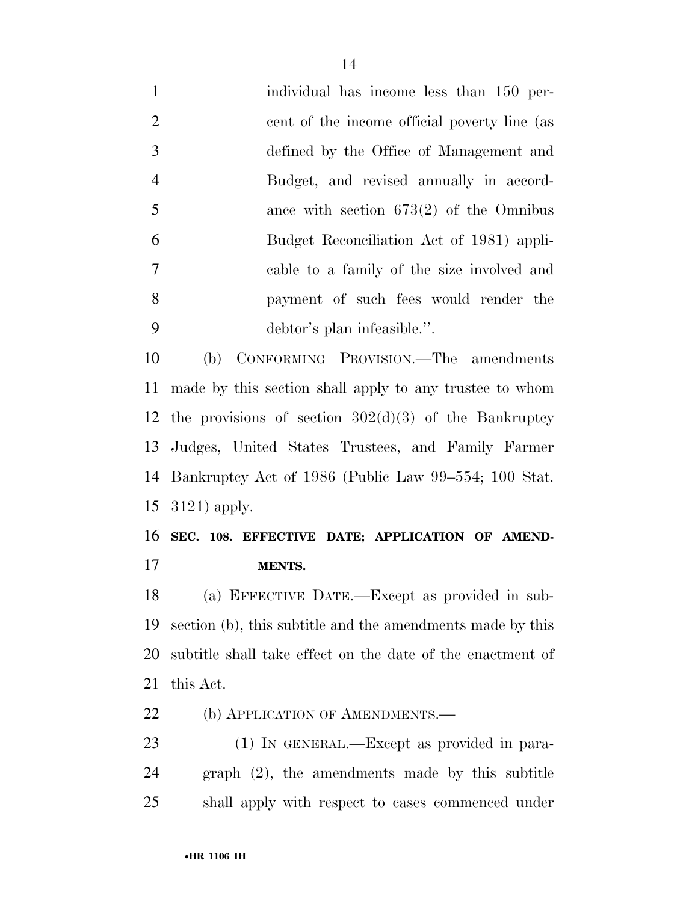| $\mathbf{1}$   | individual has income less than 150 per-     |
|----------------|----------------------------------------------|
| 2              | cent of the income official poverty line (as |
| $\overline{3}$ | defined by the Office of Management and      |
| $\overline{4}$ | Budget, and revised annually in accord-      |
| $\overline{5}$ | ance with section $673(2)$ of the Omnibus    |
| 6              | Budget Reconciliation Act of 1981) appli-    |
| 7              | cable to a family of the size involved and   |
| 8              | payment of such fees would render the        |
| 9              | debtor's plan infeasible.".                  |
| $\sim$         |                                              |

 (b) CONFORMING PROVISION.—The amendments made by this section shall apply to any trustee to whom 12 the provisions of section  $302(d)(3)$  of the Bankruptcy Judges, United States Trustees, and Family Farmer Bankruptcy Act of 1986 (Public Law 99–554; 100 Stat. 3121) apply.

 **SEC. 108. EFFECTIVE DATE; APPLICATION OF AMEND-MENTS.** 

 (a) EFFECTIVE DATE.—Except as provided in sub- section (b), this subtitle and the amendments made by this subtitle shall take effect on the date of the enactment of this Act.

22 (b) APPLICATION OF AMENDMENTS.

 (1) IN GENERAL.—Except as provided in para- graph (2), the amendments made by this subtitle shall apply with respect to cases commenced under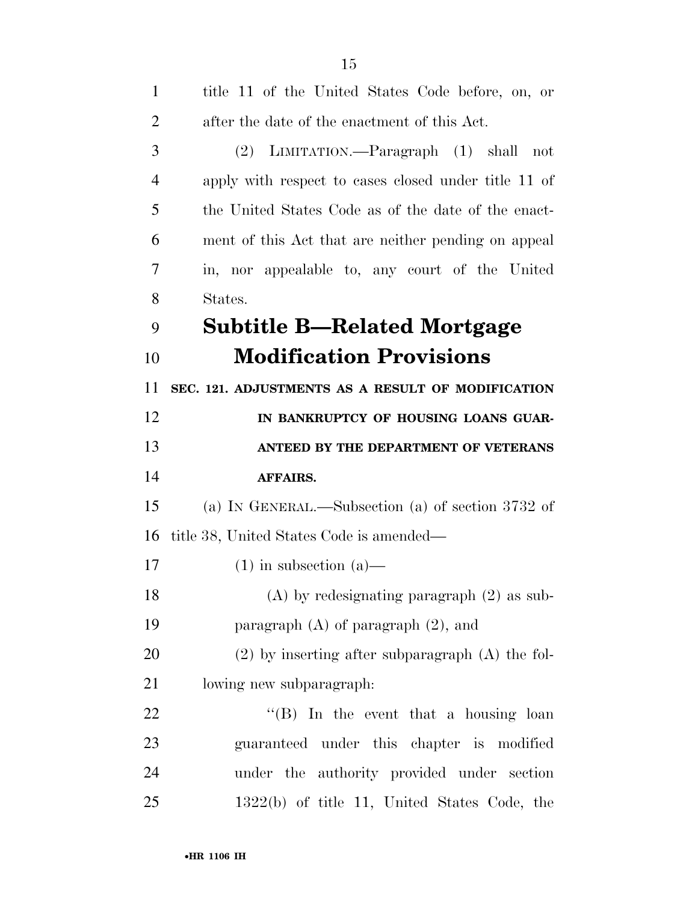| $\mathbf{1}$   | title 11 of the United States Code before, on, or    |
|----------------|------------------------------------------------------|
| $\overline{2}$ | after the date of the enactment of this Act.         |
| 3              | (2) LIMITATION.—Paragraph (1) shall not              |
| $\overline{4}$ | apply with respect to cases closed under title 11 of |
| 5              | the United States Code as of the date of the enact-  |
| 6              | ment of this Act that are neither pending on appeal  |
| 7              | in, nor appealable to, any court of the United       |
| 8              | States.                                              |
| 9              | <b>Subtitle B—Related Mortgage</b>                   |
| 10             | <b>Modification Provisions</b>                       |
| 11             | SEC. 121. ADJUSTMENTS AS A RESULT OF MODIFICATION    |
| 12             | IN BANKRUPTCY OF HOUSING LOANS GUAR-                 |
| 13             | ANTEED BY THE DEPARTMENT OF VETERANS                 |
| 14             | <b>AFFAIRS.</b>                                      |
| 15             | (a) IN GENERAL.—Subsection (a) of section 3732 of    |
| 16             | title 38, United States Code is amended—             |
| 17             | $(1)$ in subsection $(a)$ —                          |
| 18             | $(A)$ by redesignating paragraph $(2)$ as sub-       |
| 19             | paragraph $(A)$ of paragraph $(2)$ , and             |
| 20             | $(2)$ by inserting after subparagraph $(A)$ the fol- |
| 21             | lowing new subparagraph:                             |
| 22             | " $(B)$ In the event that a housing loan             |
| 23             | guaranteed under this chapter is modified            |
| 24             | under the authority provided under section           |
| 25             |                                                      |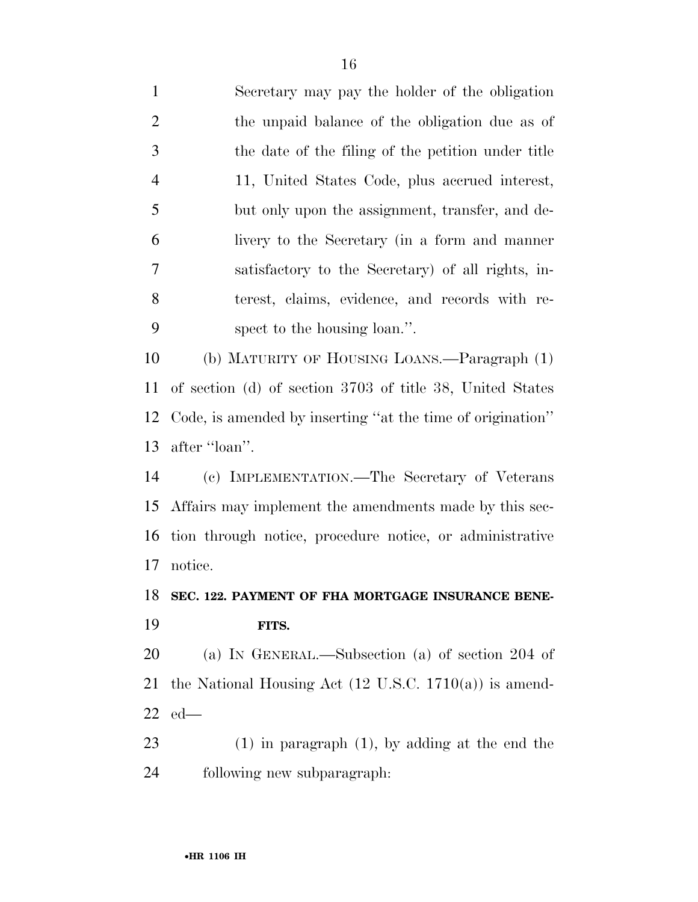Secretary may pay the holder of the obligation the unpaid balance of the obligation due as of the date of the filing of the petition under title 11, United States Code, plus accrued interest, but only upon the assignment, transfer, and de- livery to the Secretary (in a form and manner satisfactory to the Secretary) of all rights, in- terest, claims, evidence, and records with re- spect to the housing loan.''. (b) MATURITY OF HOUSING LOANS.—Paragraph (1) of section (d) of section 3703 of title 38, United States Code, is amended by inserting ''at the time of origination'' after ''loan''. (c) IMPLEMENTATION.—The Secretary of Veterans Affairs may implement the amendments made by this sec- tion through notice, procedure notice, or administrative notice. **SEC. 122. PAYMENT OF FHA MORTGAGE INSURANCE BENE- FITS.**  (a) IN GENERAL.—Subsection (a) of section 204 of the National Housing Act (12 U.S.C. 1710(a)) is amend- ed— (1) in paragraph (1), by adding at the end the following new subparagraph: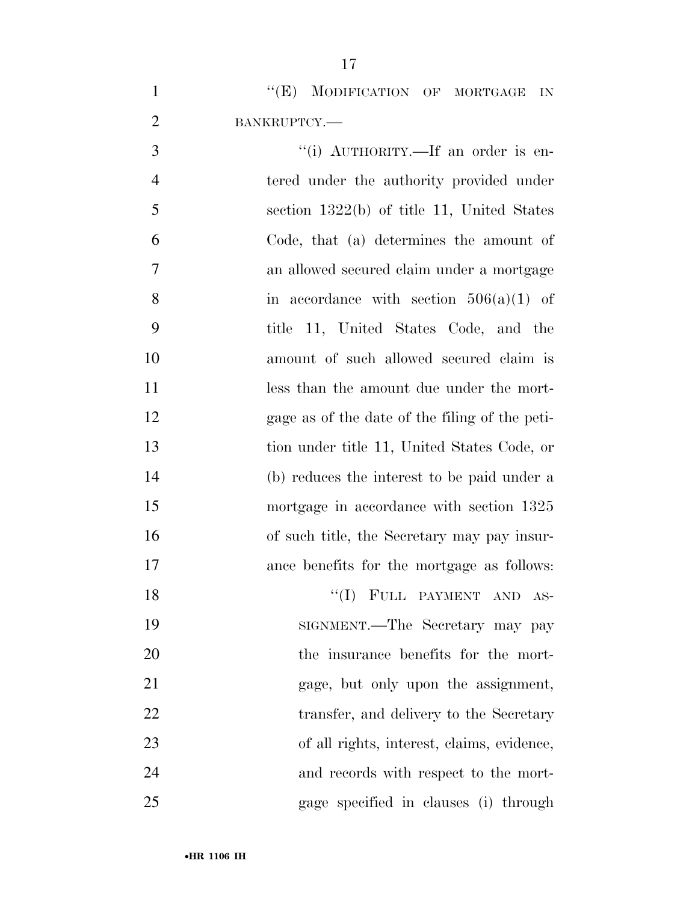1 "'(E) MODIFICATION OF MORTGAGE IN BANKRUPTCY.—

 $\frac{1}{1}$  AUTHORITY.—If an order is en-4 tered under the authority provided under section 1322(b) of title 11, United States Code, that (a) determines the amount of an allowed secured claim under a mortgage 8 in accordance with section  $506(a)(1)$  of title 11, United States Code, and the amount of such allowed secured claim is 11 less than the amount due under the mort- gage as of the date of the filing of the peti- tion under title 11, United States Code, or (b) reduces the interest to be paid under a mortgage in accordance with section 1325 of such title, the Secretary may pay insur- ance benefits for the mortgage as follows: 18 ''(I) FULL PAYMENT AND AS- SIGNMENT.—The Secretary may pay the insurance benefits for the mort-gage, but only upon the assignment,

22 transfer, and delivery to the Secretary

 of all rights, interest, claims, evidence, and records with respect to the mort-

gage specified in clauses (i) through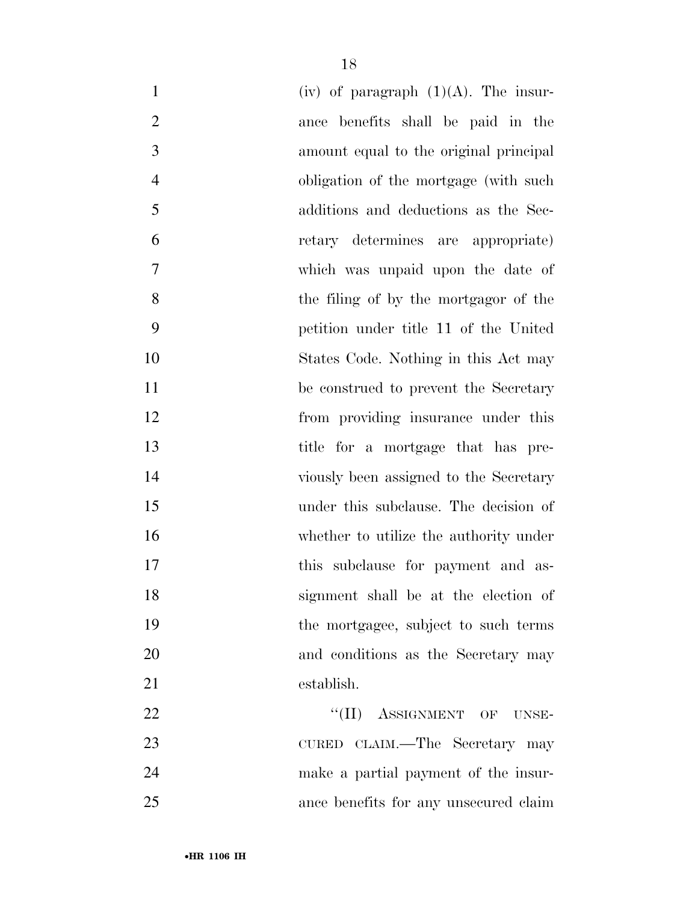| $\mathbf{1}$   | (iv) of paragraph $(1)(A)$ . The insur- |
|----------------|-----------------------------------------|
| $\overline{2}$ | ance benefits shall be paid in the      |
| 3              | amount equal to the original principal  |
| $\overline{4}$ | obligation of the mortgage (with such   |
| 5              | additions and deductions as the Sec-    |
| 6              | retary determines are appropriate)      |
| 7              | which was unpaid upon the date of       |
| 8              | the filing of by the mortgagor of the   |
| 9              | petition under title 11 of the United   |
| 10             | States Code. Nothing in this Act may    |
| 11             | be construed to prevent the Secretary   |
| 12             | from providing insurance under this     |
| 13             | title for a mortgage that has pre-      |
| 14             | viously been assigned to the Secretary  |
| 15             | under this subclause. The decision of   |
| 16             | whether to utilize the authority under  |
| 17             | this subclause for payment and as-      |
| 18             | signment shall be at the election of    |
| 19             | the mortgagee, subject to such terms    |
| 20             | and conditions as the Secretary may     |
| 21             | establish.                              |
| 22             | "(II) ASSIGNMENT OF UNSE-               |
| 23             | CURED CLAIM.—The Secretary may          |
| 24             | make a partial payment of the insur-    |
| 25             | ance benefits for any unsecured claim   |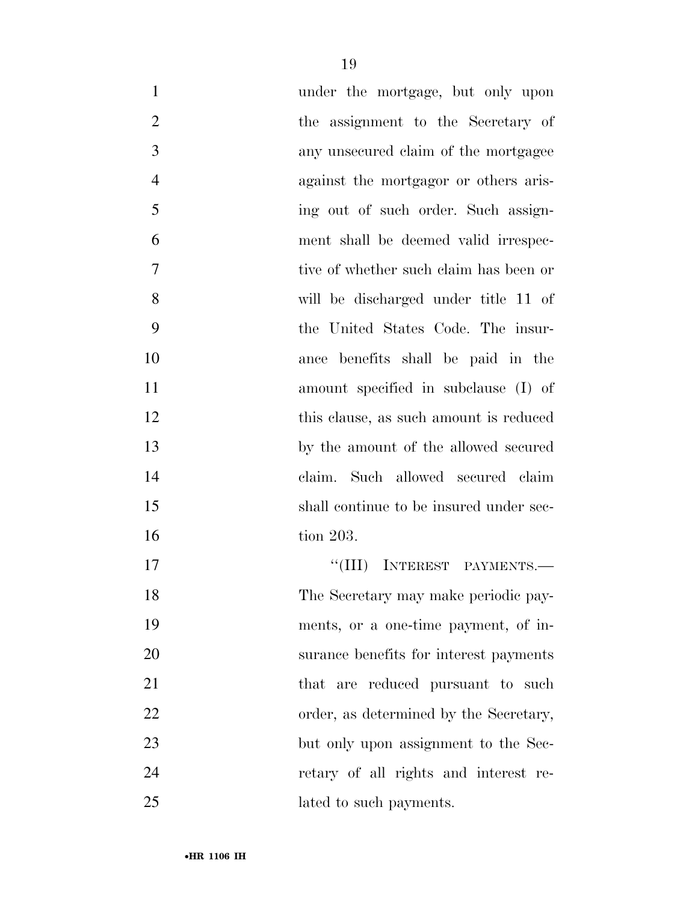| $\mathbf{1}$   | under the mortgage, but only upon       |
|----------------|-----------------------------------------|
| $\overline{2}$ | the assignment to the Secretary of      |
| 3              | any unsecured claim of the mortgagee    |
| $\overline{4}$ | against the mortgagor or others aris-   |
| 5              | ing out of such order. Such assign-     |
| 6              | ment shall be deemed valid irrespec-    |
| 7              | tive of whether such claim has been or  |
| 8              | will be discharged under title 11 of    |
| 9              | the United States Code. The insur-      |
| 10             | ance benefits shall be paid in the      |
| 11             | amount specified in subclause (I) of    |
| 12             | this clause, as such a mount is reduced |
| 13             | by the amount of the allowed secured    |
| 14             | claim. Such allowed secured claim       |
| 15             | shall continue to be insured under sec- |
| 16             | tion 203.                               |
| 17             | "(III) INTEREST PAYMENTS.—              |
| 18             | The Secretary may make periodic pay-    |
| 19             | ments, or a one-time payment, of in-    |
| 20             | surance benefits for interest payments  |
| 21             | that are reduced pursuant to such       |
| 22             | order, as determined by the Secretary,  |
| 23             | but only upon assignment to the Sec-    |
| 24             | retary of all rights and interest re-   |
| 25             | lated to such payments.                 |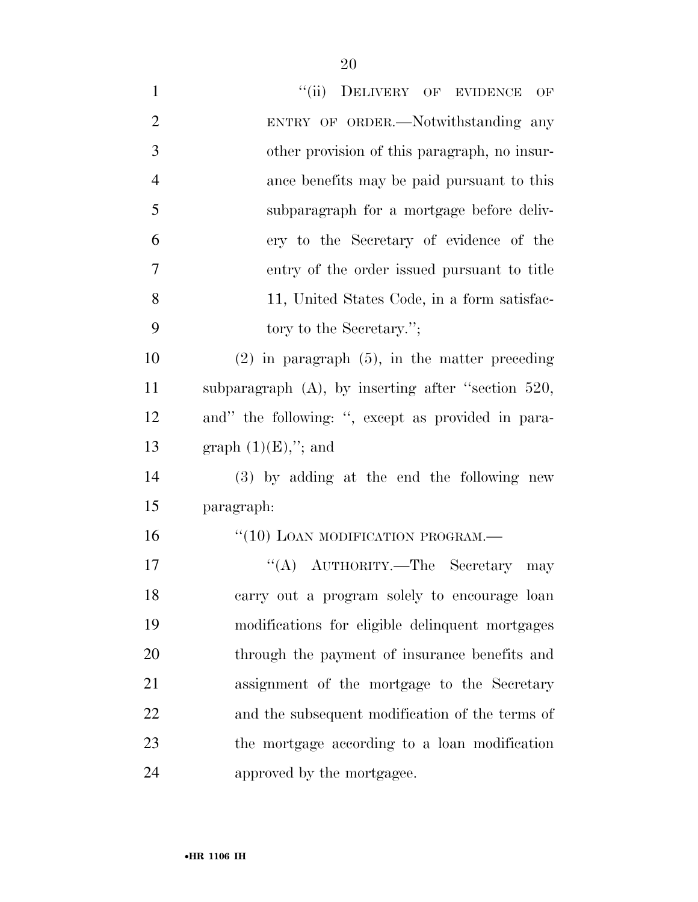| $\mathbf{1}$   | "(ii) DELIVERY OF EVIDENCE<br>OF                      |
|----------------|-------------------------------------------------------|
| $\overline{2}$ | ENTRY OF ORDER.—Notwithstanding any                   |
| 3              | other provision of this paragraph, no insur-          |
| $\overline{4}$ | ance benefits may be paid pursuant to this            |
| 5              | subparagraph for a mortgage before deliv-             |
| 6              | ery to the Secretary of evidence of the               |
| 7              | entry of the order issued pursuant to title           |
| 8              | 11, United States Code, in a form satisfac-           |
| 9              | tory to the Secretary.";                              |
| 10             | $(2)$ in paragraph $(5)$ , in the matter preceding    |
| 11             | subparagraph $(A)$ , by inserting after "section 520, |
| 12             | and" the following: ", except as provided in para-    |
| 13             | graph $(1)(E)$ ,"; and                                |
| 14             | (3) by adding at the end the following new            |
| 15             | paragraph:                                            |
| 16             | "(10) LOAN MODIFICATION PROGRAM.-                     |
| 17             | "(A) AUTHORITY.—The Secretary may                     |
| 18             | carry out a program solely to encourage loan          |
| 19             | modifications for eligible delinquent mortgages       |
| 20             | through the payment of insurance benefits and         |
| 21             | assignment of the mortgage to the Secretary           |
| 22             | and the subsequent modification of the terms of       |
| 23             | the mortgage according to a loan modification         |
| 24             | approved by the mortgagee.                            |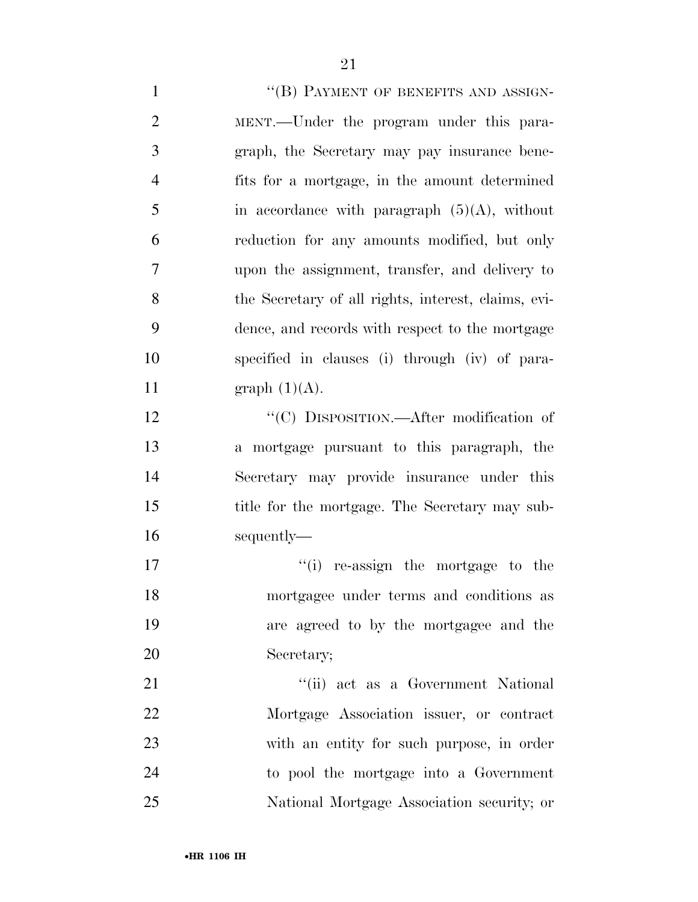1 ""(B) PAYMENT OF BENEFITS AND ASSIGN- MENT.—Under the program under this para- graph, the Secretary may pay insurance bene- fits for a mortgage, in the amount determined in accordance with paragraph  $(5)(A)$ , without reduction for any amounts modified, but only upon the assignment, transfer, and delivery to the Secretary of all rights, interest, claims, evi- dence, and records with respect to the mortgage specified in clauses (i) through (iv) of para-11 graph  $(1)(A)$ . 12 "'(C) DISPOSITION.—After modification of a mortgage pursuant to this paragraph, the Secretary may provide insurance under this title for the mortgage. The Secretary may sub- sequently—  $\frac{1}{10}$  re-assign the mortgage to the mortgagee under terms and conditions as are agreed to by the mortgagee and the Secretary; 21 ''(ii) act as a Government National Mortgage Association issuer, or contract with an entity for such purpose, in order to pool the mortgage into a Government

National Mortgage Association security; or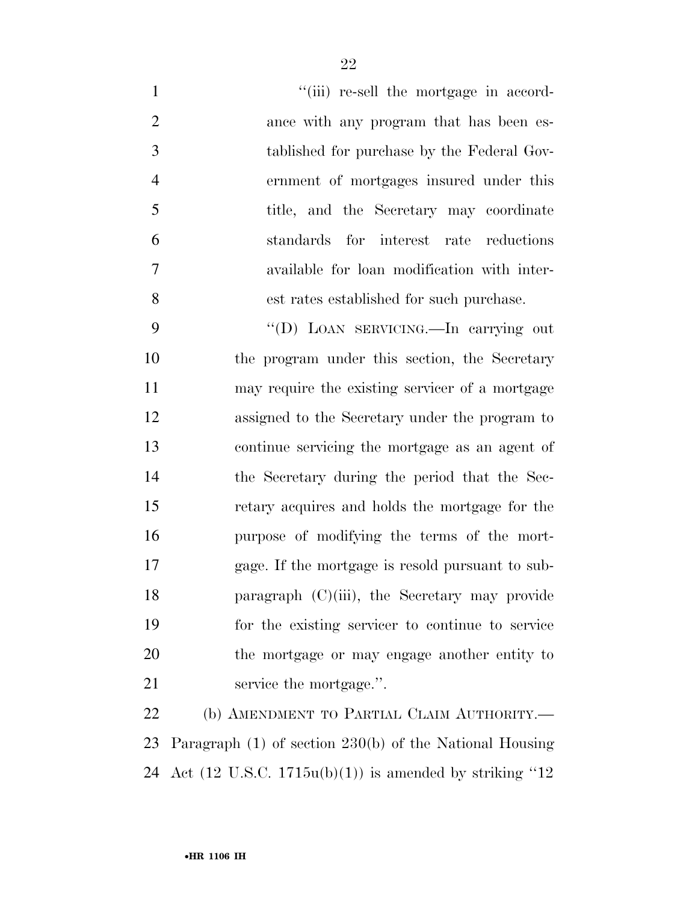| $\mathbf{1}$   | "(iii) re-sell the mortgage in accord-           |
|----------------|--------------------------------------------------|
| $\overline{2}$ | ance with any program that has been es-          |
| 3              | tablished for purchase by the Federal Gov-       |
| $\overline{4}$ | ernment of mortgages insured under this          |
| 5              | title, and the Secretary may coordinate          |
| 6              | standards for interest rate reductions           |
| 7              | available for loan modification with inter-      |
| 8              | est rates established for such purchase.         |
| 9              | "(D) LOAN SERVICING.—In carrying out             |
| 10             | the program under this section, the Secretary    |
| 11             | may require the existing servicer of a mortgage  |
| 12             | assigned to the Secretary under the program to   |
| 13             | continue servicing the mortgage as an agent of   |
| 14             | the Secretary during the period that the Sec-    |
| 15             | retary acquires and holds the mortgage for the   |
| 16             | purpose of modifying the terms of the mort-      |
| 17             | gage. If the mortgage is resold pursuant to sub- |
| 18             | paragraph $(C)(iii)$ , the Secretary may provide |
| 19             | for the existing servicer to continue to service |
| 20             | the mortgage or may engage another entity to     |
| 21             | service the mortgage.".                          |
| 22             | (b) AMENDMENT TO PARTIAL CLAIM AUTHORITY.-       |

 Paragraph (1) of section 230(b) of the National Housing Act (12 U.S.C. 1715u(b)(1)) is amended by striking ''12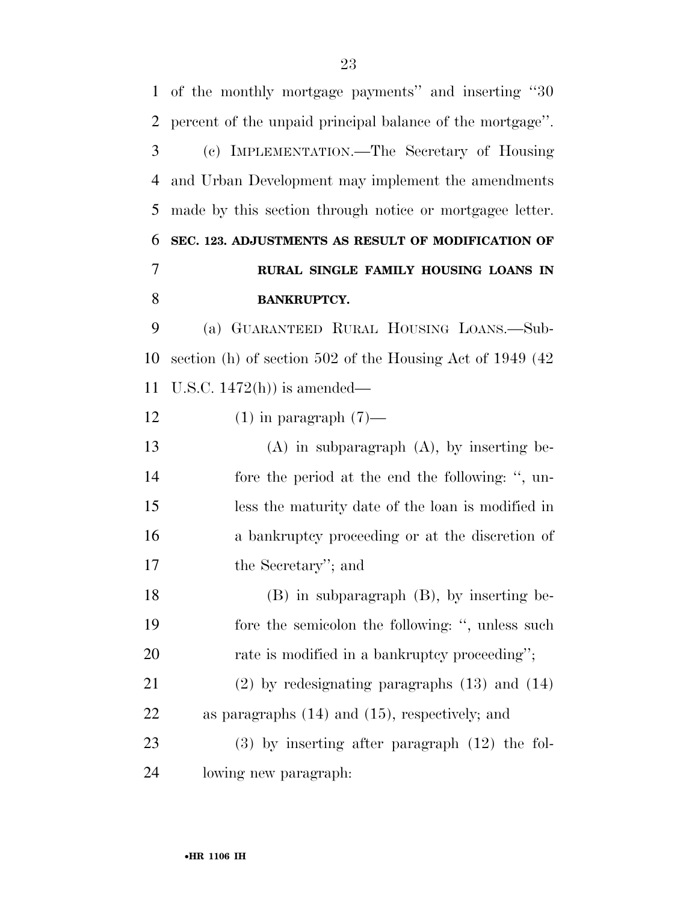| $\mathbf{1}$   | of the monthly mortgage payments" and inserting "30        |
|----------------|------------------------------------------------------------|
| 2              | percent of the unpaid principal balance of the mortgage".  |
| 3              | (c) IMPLEMENTATION.—The Secretary of Housing               |
| 4              | and Urban Development may implement the amendments         |
| 5              | made by this section through notice or mortgagee letter.   |
| 6              | SEC. 123. ADJUSTMENTS AS RESULT OF MODIFICATION OF         |
| $\overline{7}$ | RURAL SINGLE FAMILY HOUSING LOANS IN                       |
| 8              | <b>BANKRUPTCY.</b>                                         |
| 9              | (a) GUARANTEED RURAL HOUSING LOANS.—Sub-                   |
| 10             | section (h) of section 502 of the Housing Act of 1949 (42) |
| 11             | U.S.C. $1472(h)$ is amended—                               |
| 12             | $(1)$ in paragraph $(7)$ —                                 |
| 13             | $(A)$ in subparagraph $(A)$ , by inserting be-             |
| 14             | fore the period at the end the following: ", un-           |
| 15             | less the maturity date of the loan is modified in          |
| 16             | a bankruptcy proceeding or at the discretion of            |
| 17             | the Secretary"; and                                        |
| 18             | $(B)$ in subparagraph $(B)$ , by inserting be-             |
| 19             | fore the semicolon the following: ", unless such           |
| 20             | rate is modified in a bankruptcy proceeding";              |
| 21             | $(2)$ by redesignating paragraphs $(13)$ and $(14)$        |
| 22             | as paragraphs $(14)$ and $(15)$ , respectively; and        |
| 23             | $(3)$ by inserting after paragraph $(12)$ the fol-         |
| 24             | lowing new paragraph.                                      |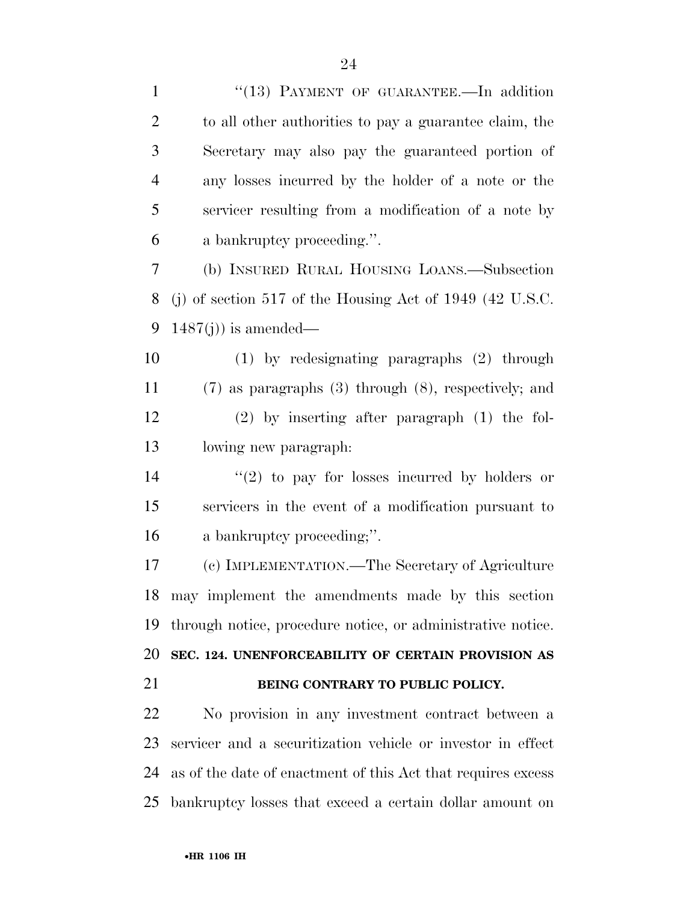| $\mathbf{1}$   | "(13) PAYMENT OF GUARANTEE.-In addition                      |
|----------------|--------------------------------------------------------------|
| $\overline{2}$ | to all other authorities to pay a guarantee claim, the       |
| 3              | Secretary may also pay the guaranteed portion of             |
| $\overline{4}$ | any losses incurred by the holder of a note or the           |
| 5              | servicer resulting from a modification of a note by          |
| 6              | a bankruptcy proceeding.".                                   |
| 7              | (b) INSURED RURAL HOUSING LOANS.—Subsection                  |
| 8              | (j) of section 517 of the Housing Act of 1949 (42 U.S.C.     |
| 9              | $1487(j)$ ) is amended—                                      |
| 10             | $(1)$ by redesignating paragraphs $(2)$ through              |
| 11             | $(7)$ as paragraphs $(3)$ through $(8)$ , respectively; and  |
| 12             | $(2)$ by inserting after paragraph $(1)$ the fol-            |
| 13             | lowing new paragraph:                                        |
| 14             | $\lq(2)$ to pay for losses incurred by holders or            |
| 15             | servicers in the event of a modification pursuant to         |
| 16             | a bankruptcy proceeding;".                                   |
| 17             | (c) IMPLEMENTATION.—The Secretary of Agriculture             |
| 18             | may implement the amendments made by this section            |
| 19             | through notice, procedure notice, or administrative notice.  |
| 20             | SEC. 124. UNENFORCEABILITY OF CERTAIN PROVISION AS           |
| 21             | BEING CONTRARY TO PUBLIC POLICY.                             |
| 22             | No provision in any investment contract between a            |
| 23             | servicer and a securitization vehicle or investor in effect  |
| 24             | as of the date of enactment of this Act that requires excess |
| 25             | bankruptcy losses that exceed a certain dollar amount on     |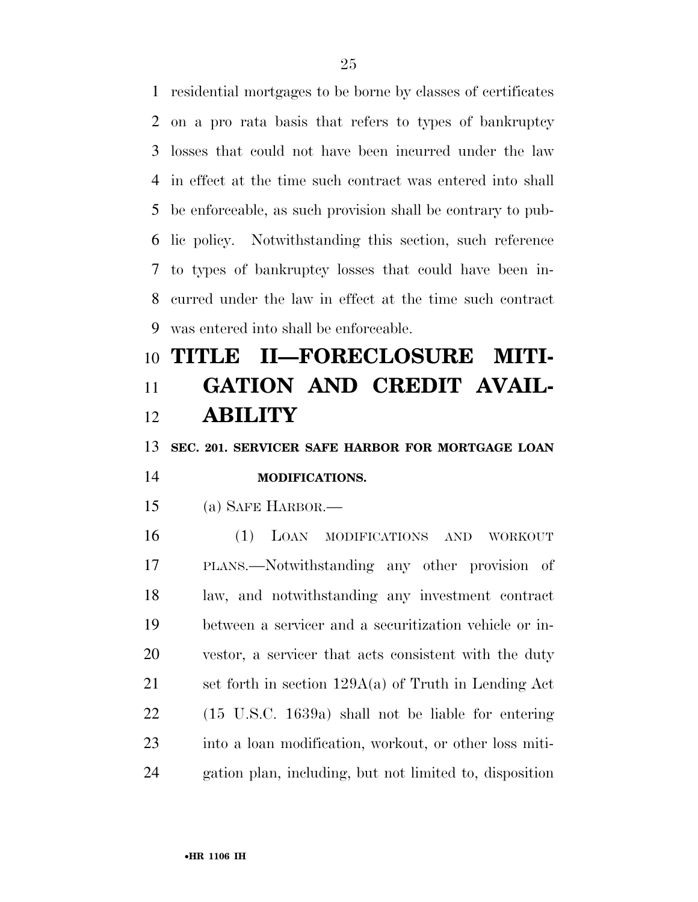residential mortgages to be borne by classes of certificates on a pro rata basis that refers to types of bankruptcy losses that could not have been incurred under the law in effect at the time such contract was entered into shall be enforceable, as such provision shall be contrary to pub- lic policy. Notwithstanding this section, such reference to types of bankruptcy losses that could have been in- curred under the law in effect at the time such contract was entered into shall be enforceable.

# **TITLE II—FORECLOSURE MITI- GATION AND CREDIT AVAIL-ABILITY**

**SEC. 201. SERVICER SAFE HARBOR FOR MORTGAGE LOAN** 

# **MODIFICATIONS.**

(a) SAFE HARBOR.—

 (1) LOAN MODIFICATIONS AND WORKOUT PLANS.—Notwithstanding any other provision of law, and notwithstanding any investment contract between a servicer and a securitization vehicle or in- vestor, a servicer that acts consistent with the duty set forth in section 129A(a) of Truth in Lending Act (15 U.S.C. 1639a) shall not be liable for entering into a loan modification, workout, or other loss miti-gation plan, including, but not limited to, disposition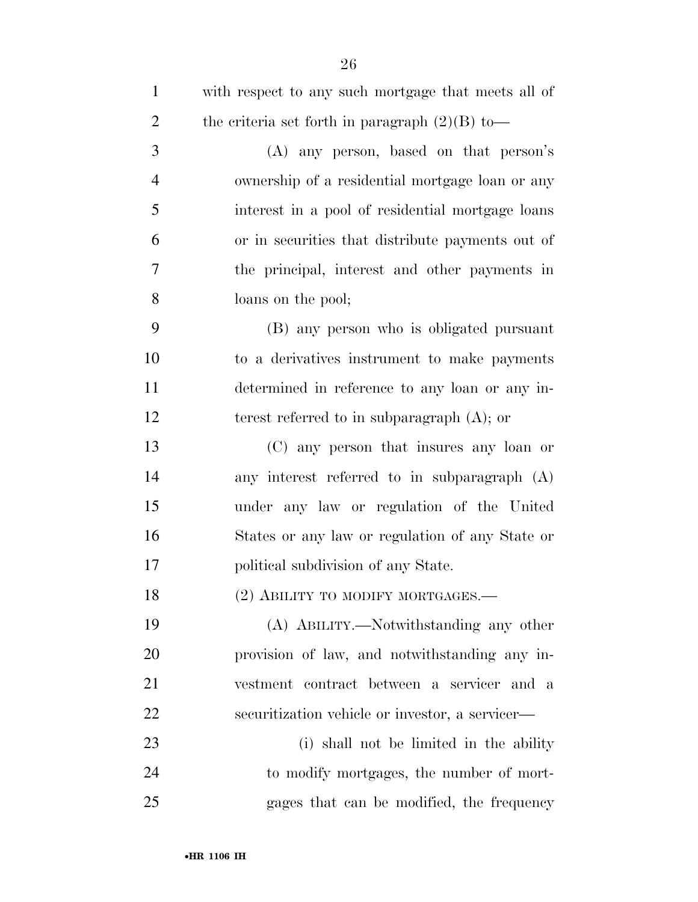| $\mathbf{1}$   | with respect to any such mortgage that meets all of |
|----------------|-----------------------------------------------------|
| $\overline{2}$ | the criteria set forth in paragraph $(2)(B)$ to-    |
| 3              | (A) any person, based on that person's              |
| $\overline{4}$ | ownership of a residential mortgage loan or any     |
| 5              | interest in a pool of residential mortgage loans    |
| 6              | or in securities that distribute payments out of    |
| 7              | the principal, interest and other payments in       |
| 8              | loans on the pool;                                  |
| 9              | (B) any person who is obligated pursuant            |
| 10             | to a derivatives instrument to make payments        |
| 11             | determined in reference to any loan or any in-      |
| 12             | terest referred to in subparagraph $(A)$ ; or       |
| 13             | (C) any person that insures any loan or             |
| 14             | any interest referred to in subparagraph (A)        |
| 15             | under any law or regulation of the United           |
| 16             | States or any law or regulation of any State or     |
| 17             | political subdivision of any State.                 |
| 18             | (2) ABILITY TO MODIFY MORTGAGES.-                   |
| 19             | (A) ABILITY.—Notwithstanding any other              |
| 20             | provision of law, and notwithstanding any in-       |
| 21             | vestment contract between a servicer and a          |
| 22             | securitization vehicle or investor, a servicer—     |
| 23             | (i) shall not be limited in the ability             |
| 24             | to modify mortgages, the number of mort-            |
| 25             | gages that can be modified, the frequency           |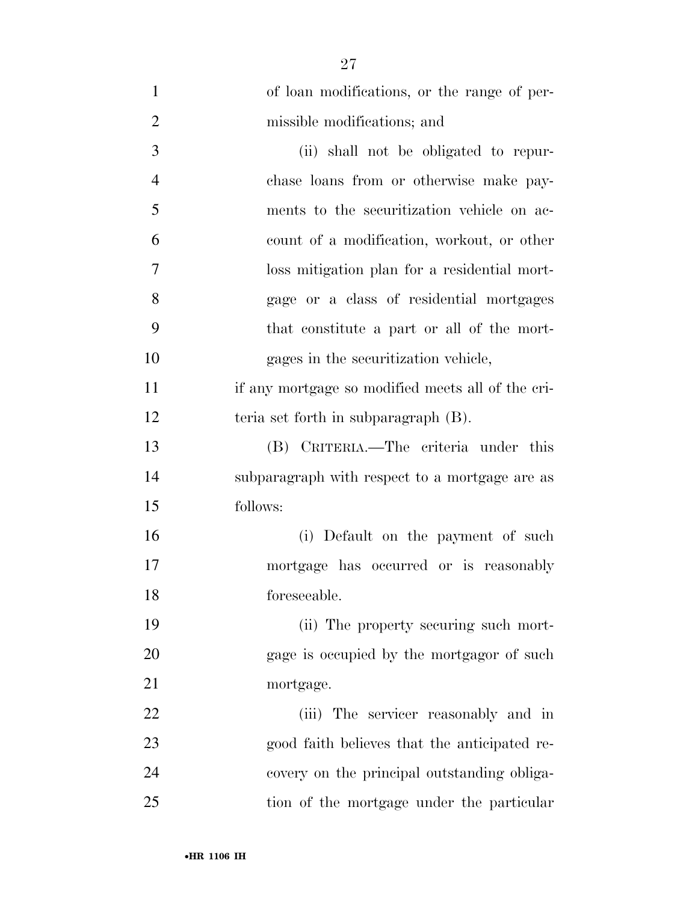| $\mathbf{1}$   | of loan modifications, or the range of per-       |
|----------------|---------------------------------------------------|
| $\overline{2}$ | missible modifications; and                       |
| 3              | (ii) shall not be obligated to repur-             |
| $\overline{4}$ | chase loans from or otherwise make pay-           |
| 5              | ments to the securitization vehicle on ac-        |
| 6              | count of a modification, workout, or other        |
| 7              | loss mitigation plan for a residential mort-      |
| 8              | gage or a class of residential mortgages          |
| 9              | that constitute a part or all of the mort-        |
| 10             | gages in the securitization vehicle,              |
| 11             | if any mortgage so modified meets all of the cri- |
| 12             | teria set forth in subparagraph (B).              |
| 13             | (B) CRITERIA.—The criteria under this             |
| 14             | subparagraph with respect to a mortgage are as    |
| 15             | follows:                                          |
| 16             | (i) Default on the payment of such                |
| 17             | mortgage has occurred or is reasonably            |
| 18             | foreseeable.                                      |
| 19             | (ii) The property securing such mort-             |
| 20             | gage is occupied by the mortgagor of such         |
| 21             | mortgage.                                         |
| 22             | (iii) The servicer reasonably and in              |
| 23             | good faith believes that the anticipated re-      |
| 24             | covery on the principal outstanding obliga-       |
| 25             | tion of the mortgage under the particular         |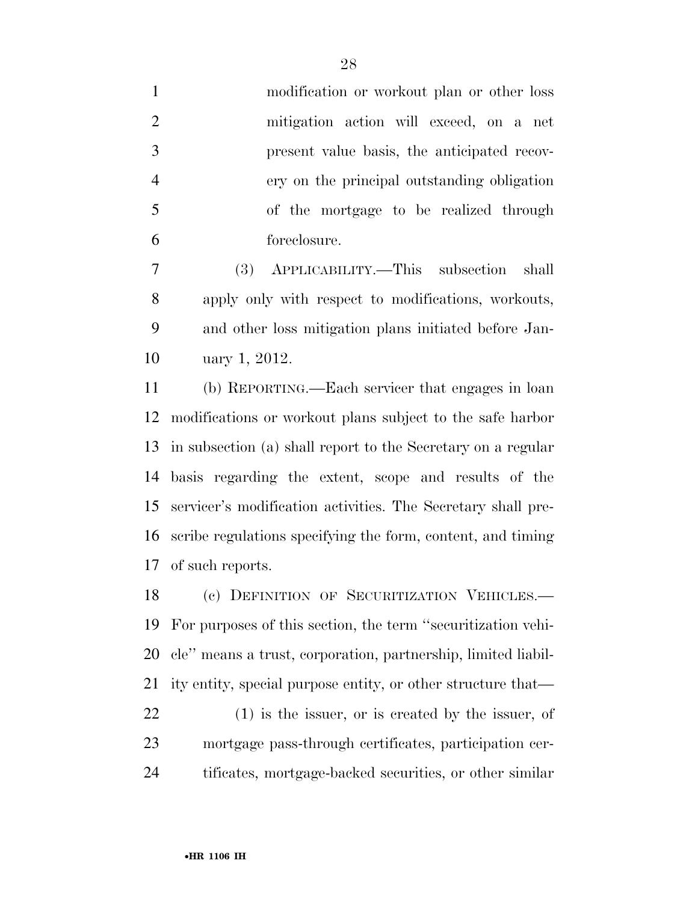|    | modification or workout plan or other loss  |
|----|---------------------------------------------|
| 2  | mitigation action will exceed, on a net     |
| 3  | present value basis, the anticipated recov- |
|    | ery on the principal outstanding obligation |
| -5 | of the mortgage to be realized through      |
|    | foreclosure.                                |

 (3) APPLICABILITY.—This subsection shall apply only with respect to modifications, workouts, and other loss mitigation plans initiated before Jan-uary 1, 2012.

 (b) REPORTING.—Each servicer that engages in loan modifications or workout plans subject to the safe harbor in subsection (a) shall report to the Secretary on a regular basis regarding the extent, scope and results of the servicer's modification activities. The Secretary shall pre- scribe regulations specifying the form, content, and timing of such reports.

 (c) DEFINITION OF SECURITIZATION VEHICLES.— For purposes of this section, the term ''securitization vehi- cle'' means a trust, corporation, partnership, limited liabil-ity entity, special purpose entity, or other structure that—

 (1) is the issuer, or is created by the issuer, of mortgage pass-through certificates, participation cer-tificates, mortgage-backed securities, or other similar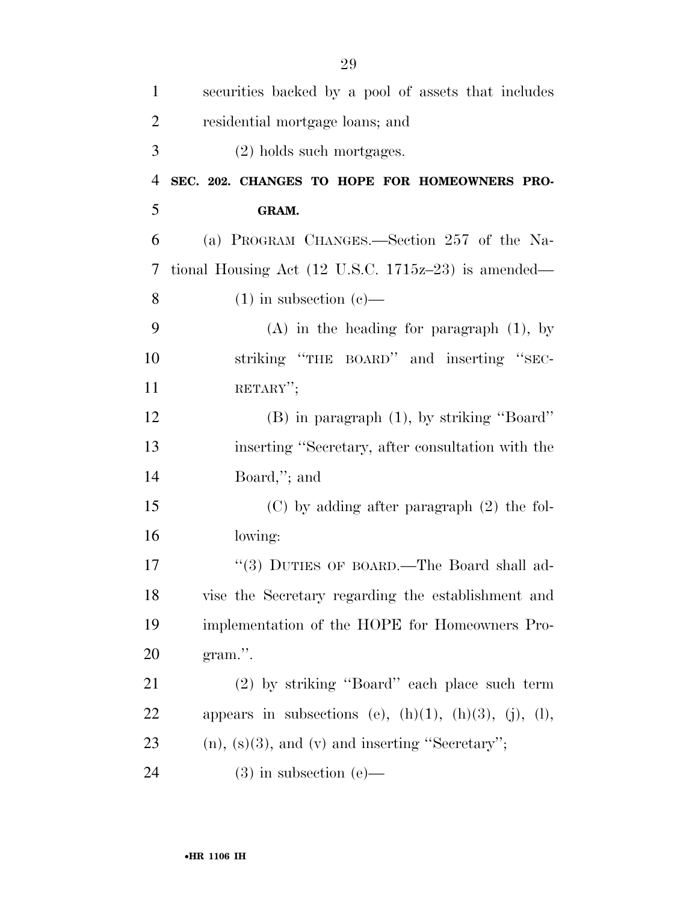| $\mathbf{1}$   | securities backed by a pool of assets that includes               |
|----------------|-------------------------------------------------------------------|
| $\overline{2}$ | residential mortgage loans; and                                   |
| 3              | (2) holds such mortgages.                                         |
| $\overline{4}$ | SEC. 202. CHANGES TO HOPE FOR HOMEOWNERS PRO-                     |
| 5              | GRAM.                                                             |
| 6              | (a) PROGRAM CHANGES.—Section 257 of the Na-                       |
| 7              | tional Housing Act $(12 \text{ U.S.C. } 1715z-23)$ is amended—    |
| 8              | $(1)$ in subsection $(e)$ —                                       |
| 9              | $(A)$ in the heading for paragraph $(1)$ , by                     |
| 10             | striking "THE BOARD" and inserting "SEC-                          |
| 11             | RETARY";                                                          |
| 12             | $(B)$ in paragraph $(1)$ , by striking "Board"                    |
| 13             | inserting "Secretary, after consultation with the                 |
| 14             | Board,"; and                                                      |
| 15             | $(C)$ by adding after paragraph $(2)$ the fol-                    |
| 16             | lowing:                                                           |
| 17             | "(3) DUTIES OF BOARD.—The Board shall ad-                         |
| 18             | vise the Secretary regarding the establishment and                |
| 19             | implementation of the HOPE for Homeowners Pro-                    |
| 20             | $gram$ .                                                          |
| 21             | (2) by striking "Board" each place such term                      |
| 22             | appears in subsections (e), $(h)(1)$ , $(h)(3)$ , $(j)$ , $(l)$ , |
| 23             | $(n)$ , $(s)(3)$ , and $(v)$ and inserting "Secretary";           |
| 24             | $(3)$ in subsection $(e)$ —                                       |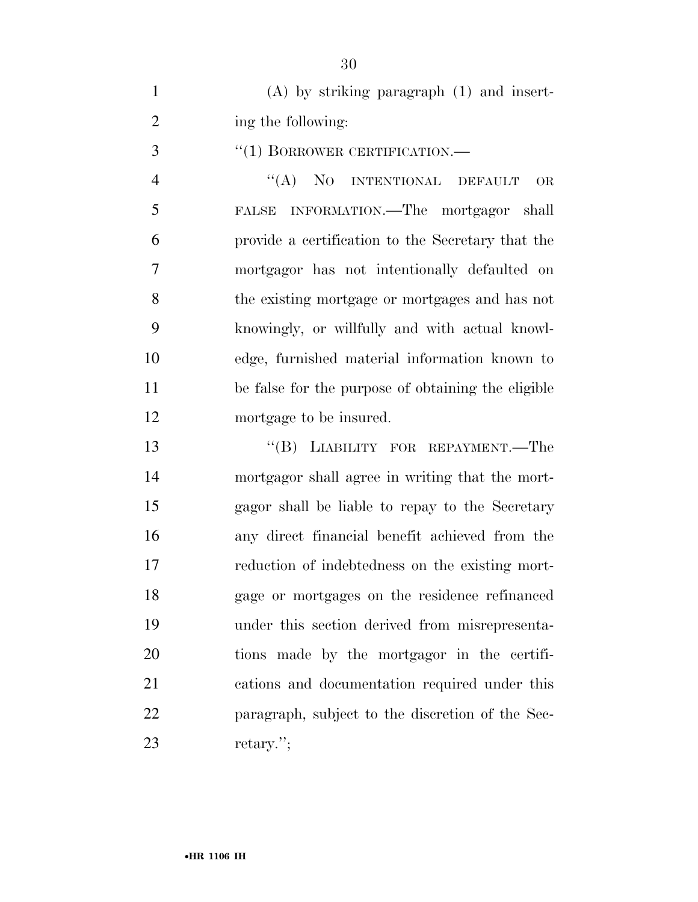| $(A)$ by striking paragraph $(1)$ and insert- |
|-----------------------------------------------|
| ing the following:                            |

''(1) BORROWER CERTIFICATION.—

 ''(A) NO INTENTIONAL DEFAULT OR FALSE INFORMATION.—The mortgagor shall provide a certification to the Secretary that the mortgagor has not intentionally defaulted on the existing mortgage or mortgages and has not knowingly, or willfully and with actual knowl- edge, furnished material information known to be false for the purpose of obtaining the eligible mortgage to be insured.

13 "(B) LIABILITY FOR REPAYMENT.—The mortgagor shall agree in writing that the mort- gagor shall be liable to repay to the Secretary any direct financial benefit achieved from the reduction of indebtedness on the existing mort- gage or mortgages on the residence refinanced under this section derived from misrepresenta- tions made by the mortgagor in the certifi- cations and documentation required under this paragraph, subject to the discretion of the Sec-retary.'';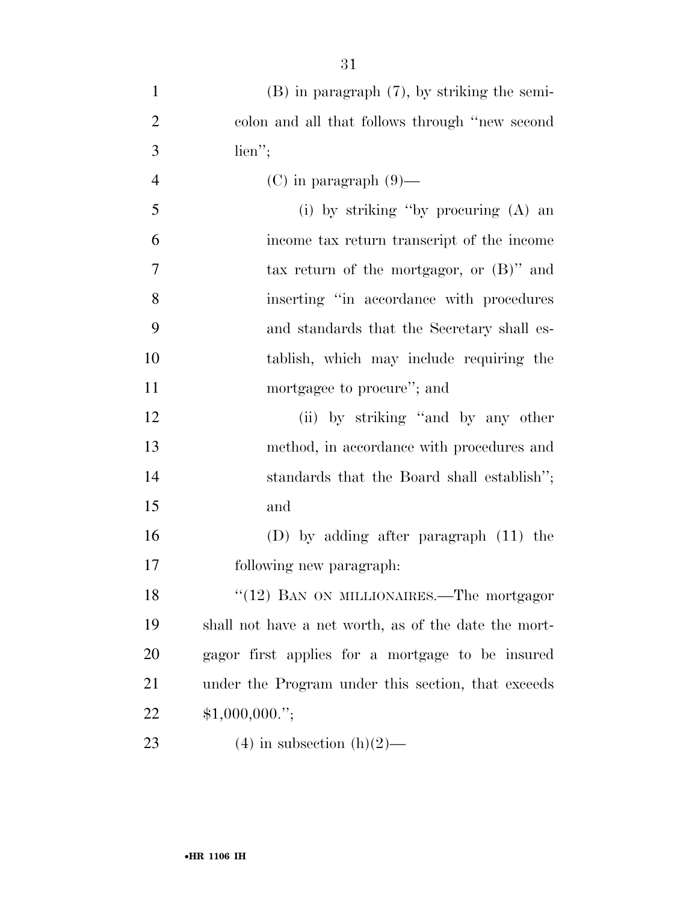| $\mathbf{1}$   | $(B)$ in paragraph $(7)$ , by striking the semi-     |
|----------------|------------------------------------------------------|
| $\overline{2}$ | colon and all that follows through "new second       |
| 3              | $\lim$ ";                                            |
| 4              | $(C)$ in paragraph $(9)$ —                           |
| 5              | (i) by striking "by procuring (A) an                 |
| 6              | income tax return transcript of the income           |
| 7              | tax return of the mortgagor, or $(B)$ " and          |
| 8              | inserting "in accordance with procedures"            |
| 9              | and standards that the Secretary shall es-           |
| 10             | tablish, which may include requiring the             |
| 11             | mortgagee to procure"; and                           |
| 12             | (ii) by striking "and by any other                   |
| 13             | method, in accordance with procedures and            |
| 14             | standards that the Board shall establish";           |
| 15             | and                                                  |
| 16             | (D) by adding after paragraph $(11)$ the             |
| 17             | following new paragraph:                             |
| 18             | "(12) BAN ON MILLIONAIRES.—The mortgagor             |
| 19             | shall not have a net worth, as of the date the mort- |
| 20             | gagor first applies for a mortgage to be insured     |
| 21             | under the Program under this section, that exceeds   |
| 22             | \$1,000,000."                                        |
| 23             | $(4)$ in subsection $(h)(2)$ —                       |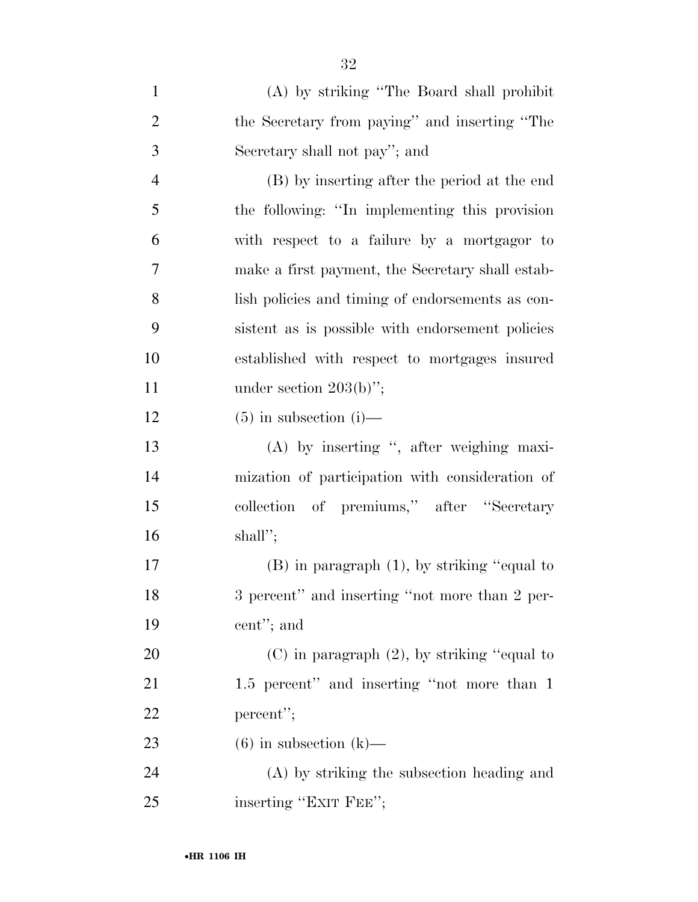| $\mathbf{1}$   | (A) by striking "The Board shall prohibit        |
|----------------|--------------------------------------------------|
| $\overline{2}$ | the Secretary from paying" and inserting "The    |
| 3              | Secretary shall not pay"; and                    |
| $\overline{4}$ | (B) by inserting after the period at the end     |
| 5              | the following: "In implementing this provision   |
| 6              | with respect to a failure by a mortgagor to      |
| $\overline{7}$ | make a first payment, the Secretary shall estab- |
| 8              | lish policies and timing of endorsements as con- |
| 9              | sistent as is possible with endorsement policies |
| 10             | established with respect to mortgages insured    |
| 11             | under section $203(b)$ ";                        |
| 12             | $(5)$ in subsection (i)—                         |
| 13             | (A) by inserting ", after weighing maxi-         |
| 14             | mization of participation with consideration of  |
| 15             | collection of premiums," after "Secretary        |
| 16             | shall";                                          |
| 17             | $(B)$ in paragraph $(1)$ , by striking "equal to |
| 18             | 3 percent" and inserting "not more than 2 per-   |
| 19             | cent"; and                                       |
| 20             | $(C)$ in paragraph $(2)$ , by striking "equal to |
| 21             | 1.5 percent" and inserting "not more than 1      |
| 22             | percent";                                        |
| 23             | $(6)$ in subsection $(k)$ —                      |
| 24             | (A) by striking the subsection heading and       |
| 25             | inserting "EXIT FEE";                            |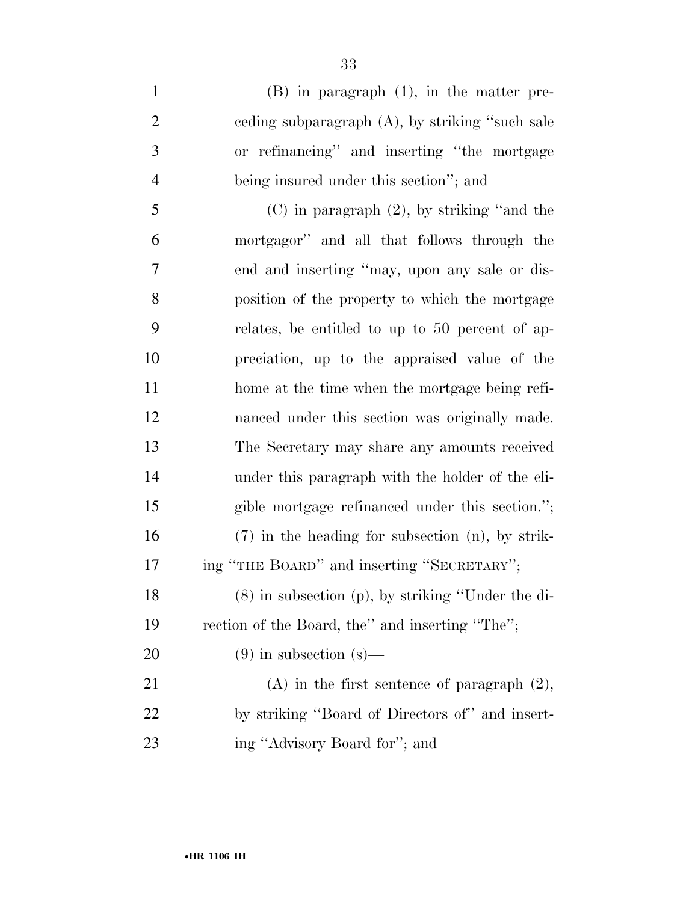- (B) in paragraph (1), in the matter pre- ceding subparagraph (A), by striking ''such sale or refinancing'' and inserting ''the mortgage being insured under this section''; and (C) in paragraph (2), by striking ''and the mortgagor'' and all that follows through the end and inserting ''may, upon any sale or dis-position of the property to which the mortgage
- relates, be entitled to up to 50 percent of ap- preciation, up to the appraised value of the 11 home at the time when the mortgage being refi- nanced under this section was originally made. The Secretary may share any amounts received under this paragraph with the holder of the eli- gible mortgage refinanced under this section.''; (7) in the heading for subsection (n), by strik-17 ing "THE BOARD" and inserting "SECRETARY"; (8) in subsection (p), by striking ''Under the di-rection of the Board, the'' and inserting ''The'';

20 (9) in subsection  $(s)$ —

 (A) in the first sentence of paragraph (2), by striking ''Board of Directors of'' and insert-ing ''Advisory Board for''; and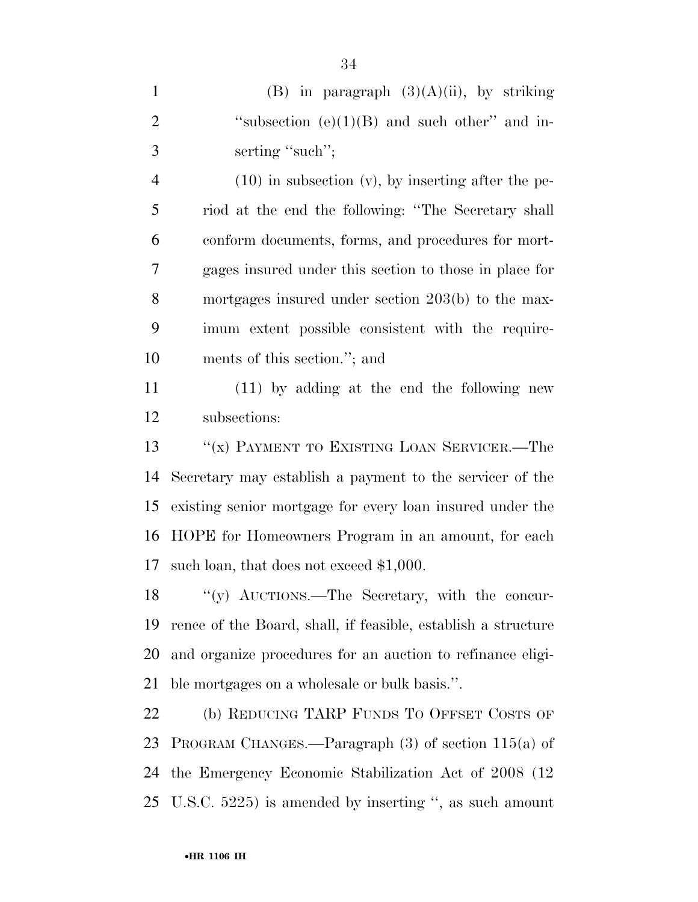|               | (B) in paragraph $(3)(A)(ii)$ , by striking     |
|---------------|-------------------------------------------------|
| $\mathcal{D}$ | "subsection $(e)(1)(B)$ and such other" and in- |
| $\mathcal{R}$ | serting "such";                                 |

 (10) in subsection (v), by inserting after the pe- riod at the end the following: ''The Secretary shall conform documents, forms, and procedures for mort- gages insured under this section to those in place for mortgages insured under section 203(b) to the max- imum extent possible consistent with the require-ments of this section.''; and

 (11) by adding at the end the following new subsections:

13 "(x) PAYMENT TO EXISTING LOAN SERVICER.—The Secretary may establish a payment to the servicer of the existing senior mortgage for every loan insured under the HOPE for Homeowners Program in an amount, for each such loan, that does not exceed \$1,000.

 ''(y) AUCTIONS.—The Secretary, with the concur- rence of the Board, shall, if feasible, establish a structure and organize procedures for an auction to refinance eligi-ble mortgages on a wholesale or bulk basis.''.

 (b) REDUCING TARP FUNDS TO OFFSET COSTS OF PROGRAM CHANGES.—Paragraph (3) of section 115(a) of the Emergency Economic Stabilization Act of 2008 (12 U.S.C. 5225) is amended by inserting '', as such amount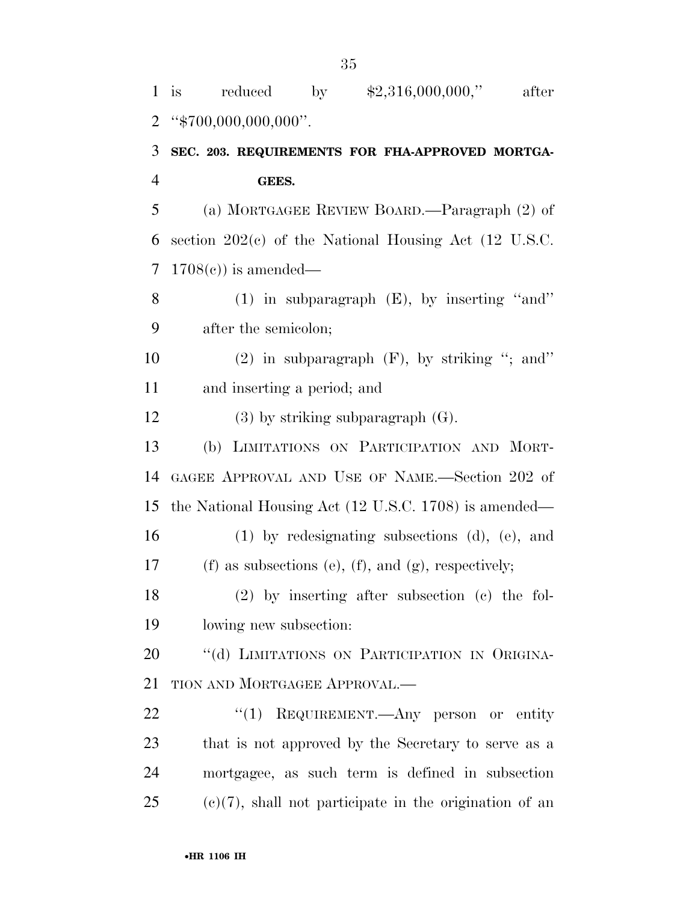| $\mathbf{1}$   | \$2,316,000,000,"<br>reduced<br>by<br>after<br>i <sub>s</sub>    |
|----------------|------------------------------------------------------------------|
| $\overline{2}$ | " $\frac{4}{5}700,000,000,000$ ".                                |
| 3              | SEC. 203. REQUIREMENTS FOR FHA-APPROVED MORTGA-                  |
| $\overline{4}$ | GEES.                                                            |
| 5              | (a) MORTGAGEE REVIEW BOARD.—Paragraph (2) of                     |
| 6              | section $202(c)$ of the National Housing Act (12 U.S.C.          |
| 7              | $1708(e)$ is amended—                                            |
| 8              | $(1)$ in subparagraph $(E)$ , by inserting "and"                 |
| 9              | after the semicolon;                                             |
| 10             | $(2)$ in subparagraph $(F)$ , by striking "; and"                |
| 11             | and inserting a period; and                                      |
| 12             | $(3)$ by striking subparagraph $(G)$ .                           |
| 13             | (b) LIMITATIONS ON PARTICIPATION AND MORT-                       |
| 14             | GAGEE APPROVAL AND USE OF NAME.—Section 202 of                   |
| 15             | the National Housing Act $(12 \text{ U.S.C. } 1708)$ is amended— |
| 16             | $(1)$ by redesignating subsections $(d)$ , $(e)$ , and           |
| 17             | (f) as subsections (e), (f), and (g), respectively;              |
| 18             | $(2)$ by inserting after subsection (c) the fol-                 |
| 19             | lowing new subsection:                                           |
| 20             | "(d) LIMITATIONS ON PARTICIPATION IN ORIGINA-                    |
| 21             | TION AND MORTGAGEE APPROVAL.—                                    |
| 22             | "(1) REQUIREMENT.—Any person or entity                           |
| 23             | that is not approved by the Secretary to serve as a              |
| 24             | mortgagee, as such term is defined in subsection                 |
| 25             | $(e)(7)$ , shall not participate in the origination of an        |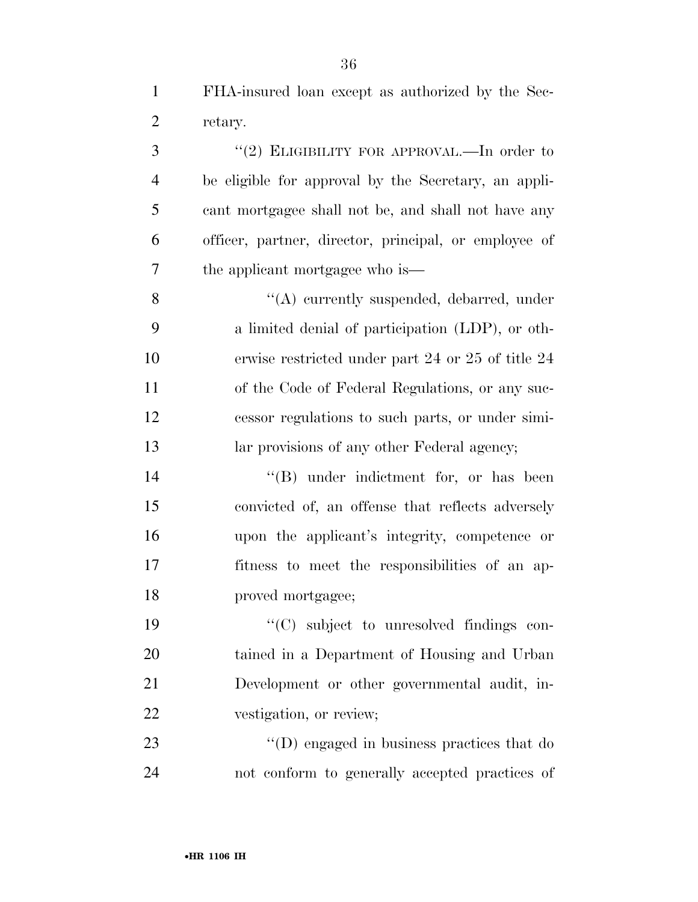3 "(2) ELIGIBILITY FOR APPROVAL.—In order to be eligible for approval by the Secretary, an appli- cant mortgagee shall not be, and shall not have any officer, partner, director, principal, or employee of the applicant mortgagee who is—

 ''(A) currently suspended, debarred, under a limited denial of participation (LDP), or oth- erwise restricted under part 24 or 25 of title 24 of the Code of Federal Regulations, or any suc- cessor regulations to such parts, or under simi-13 lar provisions of any other Federal agency;

14 ''(B) under indictment for, or has been convicted of, an offense that reflects adversely upon the applicant's integrity, competence or fitness to meet the responsibilities of an ap-proved mortgagee;

 ''(C) subject to unresolved findings con- tained in a Department of Housing and Urban Development or other governmental audit, in-vestigation, or review;

23 ''(D) engaged in business practices that do not conform to generally accepted practices of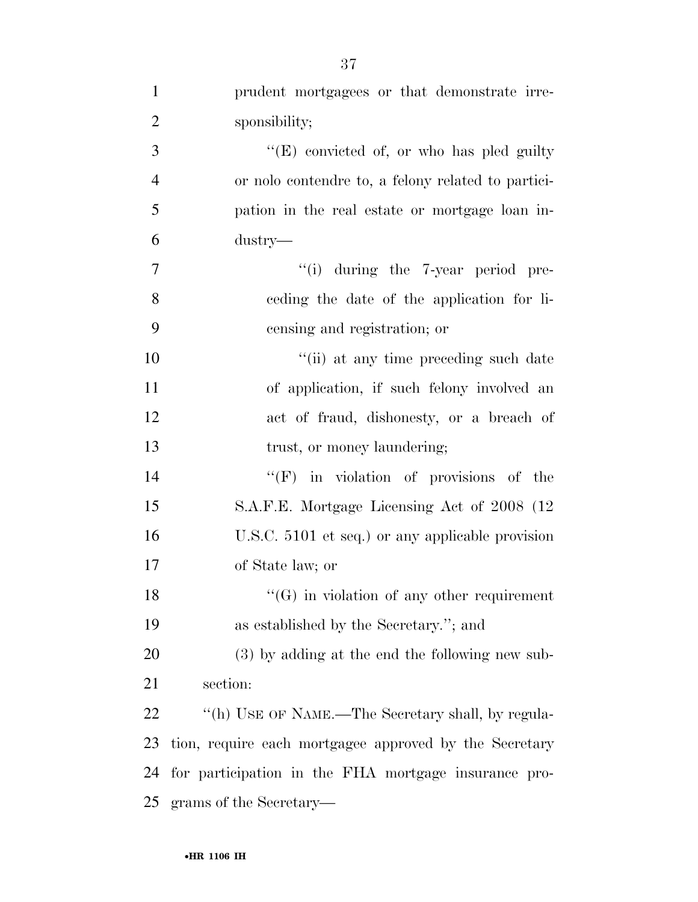| $\mathbf{1}$   | prudent mortgagees or that demonstrate irre-           |
|----------------|--------------------------------------------------------|
| $\overline{2}$ | sponsibility;                                          |
| 3              | "(E) convicted of, or who has pled guilty              |
| $\overline{4}$ | or not contendre to, a felony related to partici-      |
| 5              | pation in the real estate or mortgage loan in-         |
| 6              | dustry—                                                |
| $\overline{7}$ | $``(i)$ during the 7-year period pre-                  |
| 8              | eeding the date of the application for li-             |
| 9              | censing and registration; or                           |
| 10             | "(ii) at any time preceding such date                  |
| 11             | of application, if such felony involved an             |
| 12             | act of fraud, dishonesty, or a breach of               |
| 13             | trust, or money laundering;                            |
| 14             | $\lq\lq(F)$ in violation of provisions of the          |
| 15             | S.A.F.E. Mortgage Licensing Act of 2008 (12)           |
| 16             | U.S.C. 5101 et seq.) or any applicable provision       |
| 17             | of State law; or                                       |
| 18             | $\lq\lq(G)$ in violation of any other requirement      |
| 19             | as established by the Secretary."; and                 |
| 20             | $(3)$ by adding at the end the following new sub-      |
| 21             | section:                                               |
| 22             | "(h) USE OF NAME.—The Secretary shall, by regula-      |
| 23             | tion, require each mortgagee approved by the Secretary |
| 24             | for participation in the FHA mortgage insurance pro-   |
|                | 25 grams of the Secretary—                             |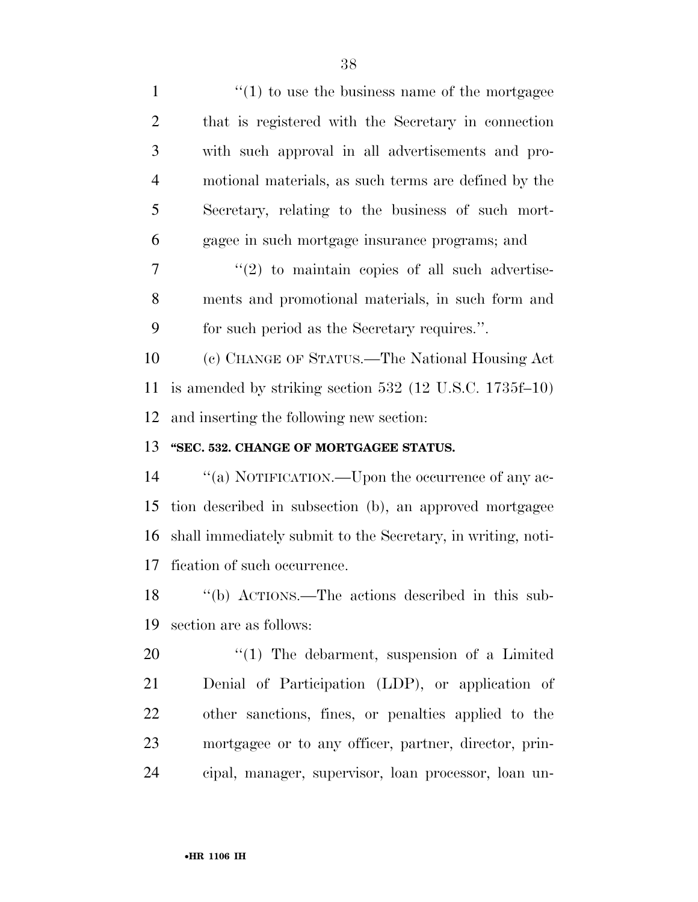| $\mathbf{1}$   | $\cdot$ (1) to use the business name of the mortgage         |
|----------------|--------------------------------------------------------------|
| $\overline{c}$ | that is registered with the Secretary in connection          |
| 3              | with such approval in all advertisements and pro-            |
| $\overline{4}$ | motional materials, as such terms are defined by the         |
| 5              | Secretary, relating to the business of such mort-            |
| 6              | gagee in such mortgage insurance programs; and               |
| 7              | $\lq(2)$ to maintain copies of all such advertise-           |
| 8              | ments and promotional materials, in such form and            |
| 9              | for such period as the Secretary requires.".                 |
| 10             | (c) CHANGE OF STATUS.—The National Housing Act               |
| 11             | is amended by striking section $532$ (12 U.S.C. 1735f–10)    |
| 12             | and inserting the following new section:                     |
|                |                                                              |
| 13             | "SEC. 532. CHANGE OF MORTGAGEE STATUS.                       |
| 14             | "(a) NOTIFICATION.—Upon the occurrence of any ac-            |
| 15             | tion described in subsection (b), an approved mortgagee      |
| 16             | shall immediately submit to the Secretary, in writing, noti- |
| 17             | fication of such occurrence.                                 |
| 18             | "(b) ACTIONS.—The actions described in this sub-             |
| 19             | section are as follows:                                      |
| 20             | $\lq(1)$ The debarment, suspension of a Limited              |
| 21             | Denial of Participation (LDP), or application of             |
| 22             | other sanctions, fines, or penalties applied to the          |
| 23             | mortgagee or to any officer, partner, director, prin-        |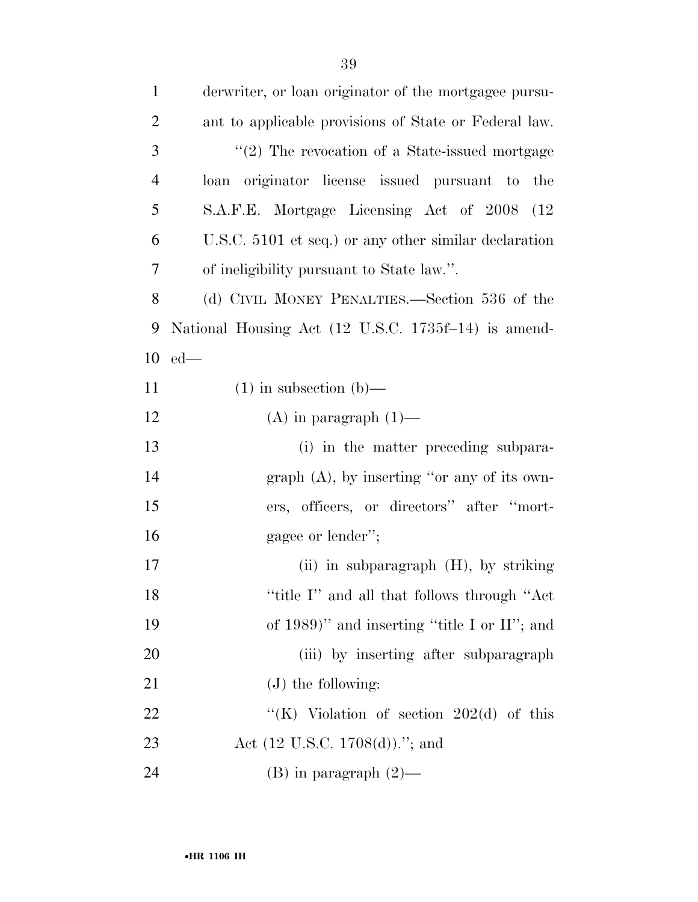| $\mathbf{1}$   | derwriter, or loan originator of the mortgagee pursu- |
|----------------|-------------------------------------------------------|
| $\overline{2}$ | ant to applicable provisions of State or Federal law. |
| 3              | $\lq(2)$ The revocation of a State-issued mortgage    |
| $\overline{4}$ | loan originator license issued pursuant to the        |
| 5              | S.A.F.E. Mortgage Licensing Act of 2008 (12)          |
| 6              | U.S.C. 5101 et seq.) or any other similar declaration |
| 7              | of ineligibility pursuant to State law.".             |
| 8              | (d) CIVIL MONEY PENALTIES.—Section 536 of the         |
| 9              | National Housing Act (12 U.S.C. 1735f-14) is amend-   |
| 10             | $ed$ —                                                |
| 11             | $(1)$ in subsection $(b)$ —                           |
| 12             | (A) in paragraph $(1)$ —                              |
| 13             | (i) in the matter preceding subpara-                  |
| 14             | graph $(A)$ , by inserting "or any of its own-        |
| 15             | ers, officers, or directors" after "mort-             |
| 16             | gagee or lender";                                     |
| 17             | (ii) in subparagraph $(H)$ , by striking              |
| 18             | "title I" and all that follows through "Act           |
| 19             | of $1989$ " and inserting "title I or II"; and        |
| 20             | (iii) by inserting after subparagraph                 |
| 21             | $(J)$ the following:                                  |
| 22             | "(K) Violation of section $202(d)$ of this            |
| 23             | Act $(12 \text{ U.S.C. } 1708(d)).$ "; and            |
| 24             | $(B)$ in paragraph $(2)$ —                            |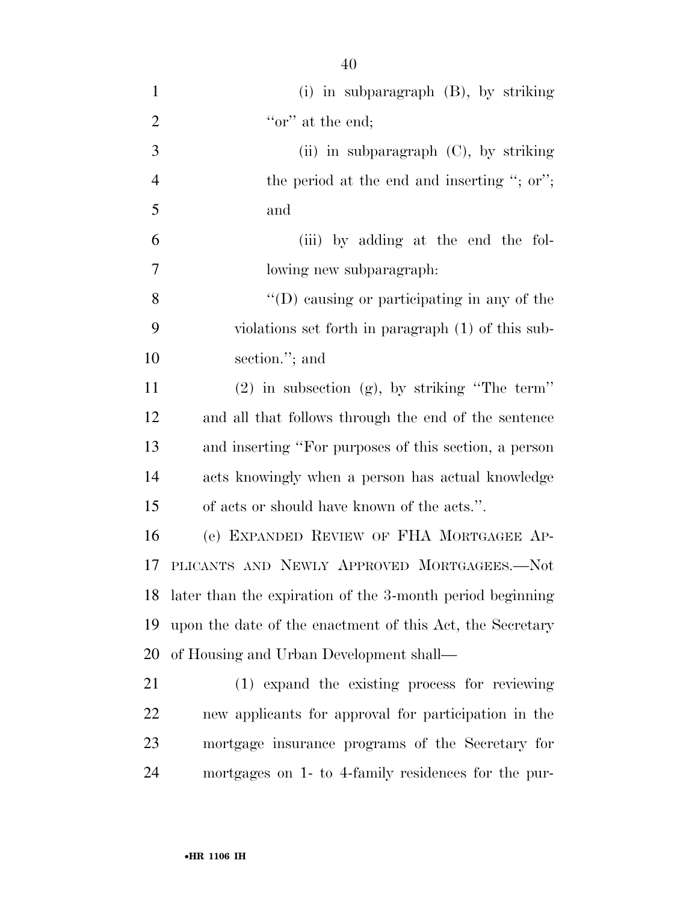| $\mathbf{1}$   | $(i)$ in subparagraph $(B)$ , by striking                    |
|----------------|--------------------------------------------------------------|
| $\overline{2}$ | "or" at the end;                                             |
| 3              | (ii) in subparagraph $(C)$ , by striking                     |
| $\overline{4}$ | the period at the end and inserting "; or";                  |
| 5              | and                                                          |
| 6              | (iii) by adding at the end the fol-                          |
| 7              | lowing new subparagraph.                                     |
| 8              | "(D) causing or participating in any of the                  |
| 9              | violations set forth in paragraph (1) of this sub-           |
| 10             | section."; and                                               |
| 11             | $(2)$ in subsection $(g)$ , by striking "The term"           |
| 12             | and all that follows through the end of the sentence         |
| 13             | and inserting "For purposes of this section, a person        |
| 14             | acts knowingly when a person has actual knowledge            |
| 15             | of acts or should have known of the acts.".                  |
| 16             | (e) EXPANDED REVIEW OF FHA MORTGAGEE AP-                     |
| 17             | PLICANTS AND NEWLY APPROVED MORTGAGEES.-Not                  |
|                | 18 later than the expiration of the 3-month period beginning |
| 19             | upon the date of the enactment of this Act, the Secretary    |
| 20             | of Housing and Urban Development shall—                      |
| 21             | (1) expand the existing process for reviewing                |
| 22             | new applicants for approval for participation in the         |
| 23             | mortgage insurance programs of the Secretary for             |
| 24             | mortgages on 1- to 4-family residences for the pur-          |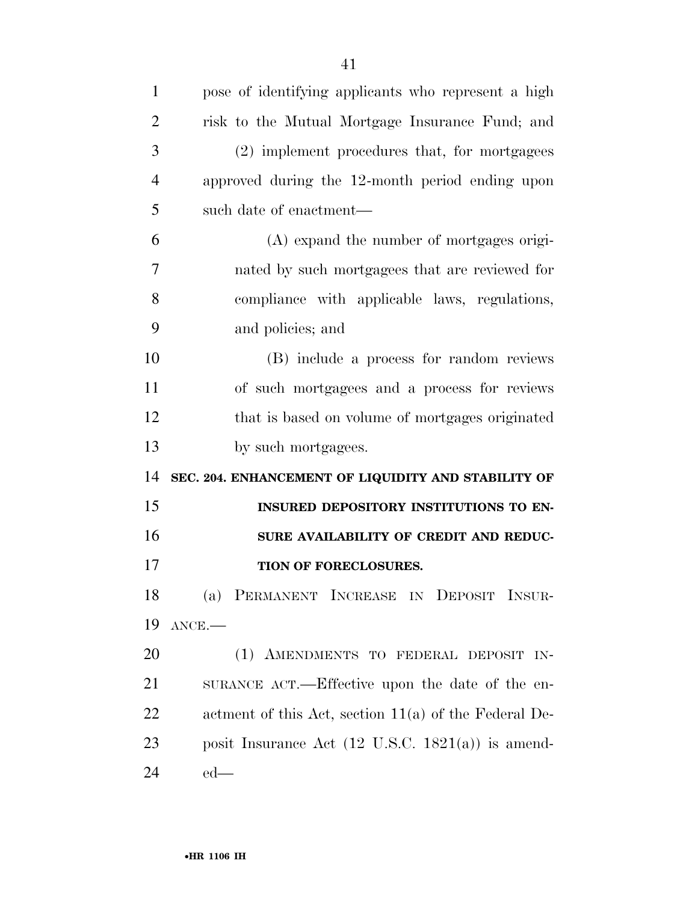| $\mathbf{1}$   | pose of identifying applicants who represent a high          |
|----------------|--------------------------------------------------------------|
| $\overline{2}$ | risk to the Mutual Mortgage Insurance Fund; and              |
| 3              | (2) implement procedures that, for mortgagees                |
| $\overline{4}$ | approved during the 12-month period ending upon              |
| 5              | such date of enactment—                                      |
| 6              | (A) expand the number of mortgages origi-                    |
| 7              | nated by such mortgagees that are reviewed for               |
| 8              | compliance with applicable laws, regulations,                |
| 9              | and policies; and                                            |
| 10             | (B) include a process for random reviews                     |
| 11             | of such mortgagees and a process for reviews                 |
| 12             | that is based on volume of mortgages originated              |
| 13             | by such mortgagees.                                          |
|                | SEC. 204. ENHANCEMENT OF LIQUIDITY AND STABILITY OF          |
| 14             |                                                              |
| 15             | INSURED DEPOSITORY INSTITUTIONS TO EN-                       |
| 16             | SURE AVAILABILITY OF CREDIT AND REDUC-                       |
| 17             | TION OF FORECLOSURES.                                        |
| 18             | (a) PERMANENT INCREASE IN DEPOSIT INSUR-                     |
| 19             | $ANCE$ .                                                     |
| 20             | (1) AMENDMENTS TO FEDERAL DEPOSIT IN-                        |
| 21             | SURANCE ACT.—Effective upon the date of the en-              |
| 22             | actment of this Act, section $11(a)$ of the Federal De-      |
| 23             | posit Insurance Act $(12 \text{ U.S.C. } 1821(a))$ is amend- |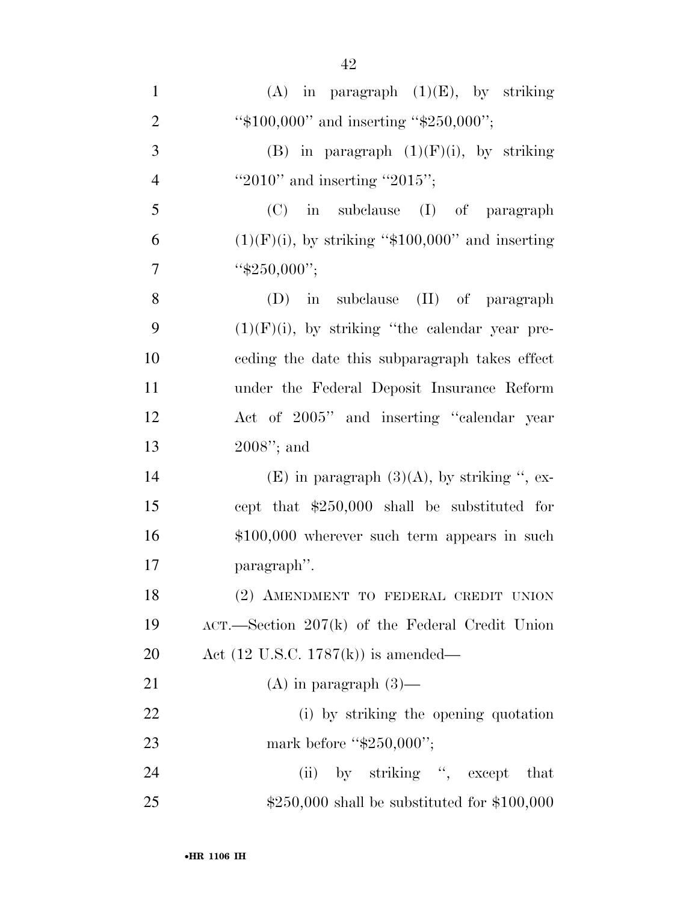| $\mathbf{1}$   | (A) in paragraph $(1)(E)$ , by striking               |
|----------------|-------------------------------------------------------|
| $\overline{2}$ | " $$100,000"$ and inserting " $$250,000"$ ;           |
| 3              | (B) in paragraph $(1)(F)(i)$ , by striking            |
| $\overline{4}$ | "2010" and inserting "2015";                          |
| 5              | $(C)$ in subclause $(I)$ of paragraph                 |
| 6              | $(1)(F)(i)$ , by striking "\$100,000" and inserting   |
| $\overline{7}$ | " $$250,000$ ";                                       |
| 8              | $(D)$ in subclause $(II)$ of paragraph                |
| 9              | $(1)(F)(i)$ , by striking "the calendar year pre-     |
| 10             | eeding the date this subparagraph takes effect        |
| 11             | under the Federal Deposit Insurance Reform            |
| 12             | Act of 2005" and inserting "calendar year             |
| 13             | $2008$ "; and                                         |
| 14             | (E) in paragraph $(3)(A)$ , by striking ", ex-        |
| 15             | cept that \$250,000 shall be substituted for          |
| 16             | $$100,000$ wherever such term appears in such         |
| 17             | paragraph".                                           |
| 18             | (2) AMENDMENT TO FEDERAL CREDIT UNION                 |
| 19             | $ACT$ . Section 207 $(k)$ of the Federal Credit Union |
| 20             | Act $(12 \text{ U.S.C. } 1787(k))$ is amended—        |
| 21             | $(A)$ in paragraph $(3)$ —                            |
| 22             | (i) by striking the opening quotation                 |
| 23             | mark before " $$250,000$ ";                           |
| 24             | (ii) by striking ", except that                       |
| 25             | $$250,000$ shall be substituted for $$100,000$        |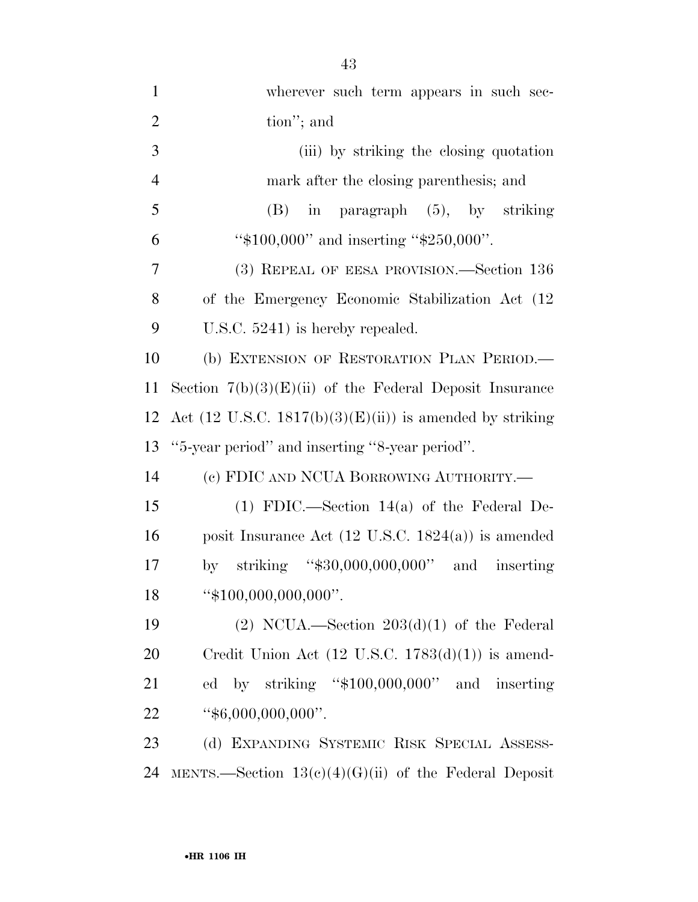| $\mathbf{1}$   | wherever such term appears in such sec-                            |
|----------------|--------------------------------------------------------------------|
| $\overline{2}$ | tion"; and                                                         |
| 3              | (iii) by striking the closing quotation                            |
| $\overline{4}$ | mark after the closing parenthesis; and                            |
| 5              | $(B)$ in paragraph $(5)$ , by striking                             |
| 6              | " $$100,000"$ and inserting " $$250,000"$ .                        |
| 7              | (3) REPEAL OF EESA PROVISION.—Section 136                          |
| 8              | of the Emergency Economic Stabilization Act (12)                   |
| 9              | U.S.C. $5241$ ) is hereby repealed.                                |
| 10             | (b) EXTENSION OF RESTORATION PLAN PERIOD.                          |
| 11             | Section $7(b)(3)(E)(ii)$ of the Federal Deposit Insurance          |
| 12             | Act $(12 \text{ U.S.C. } 1817(b)(3)(E(ii))$ is amended by striking |
| 13             | "5-year period" and inserting "8-year period".                     |
| 14             | (c) FDIC AND NCUA BORROWING AUTHORITY.—                            |
| 15             | $(1)$ FDIC.—Section 14(a) of the Federal De-                       |
| 16             | posit Insurance Act $(12 \text{ U.S.C. } 1824(a))$ is amended      |
| 17             | striking " $$30,000,000,000$ " and inserting<br>by                 |
| 18             | " $$100,000,000,000$ ".                                            |
| 19             | $(2)$ NCUA.—Section $203(d)(1)$ of the Federal                     |
| 20             | Credit Union Act $(12 \text{ U.S.C. } 1783(d)(1))$ is amend-       |
| 21             | ed by striking "\$100,000,000" and inserting                       |
| 22             | " $$6,000,000,000"$ ".                                             |
| 23             | (d) EXPANDING SYSTEMIC RISK SPECIAL ASSESS-                        |

MENTS.—Section 13(c)(4)(G)(ii) of the Federal Deposit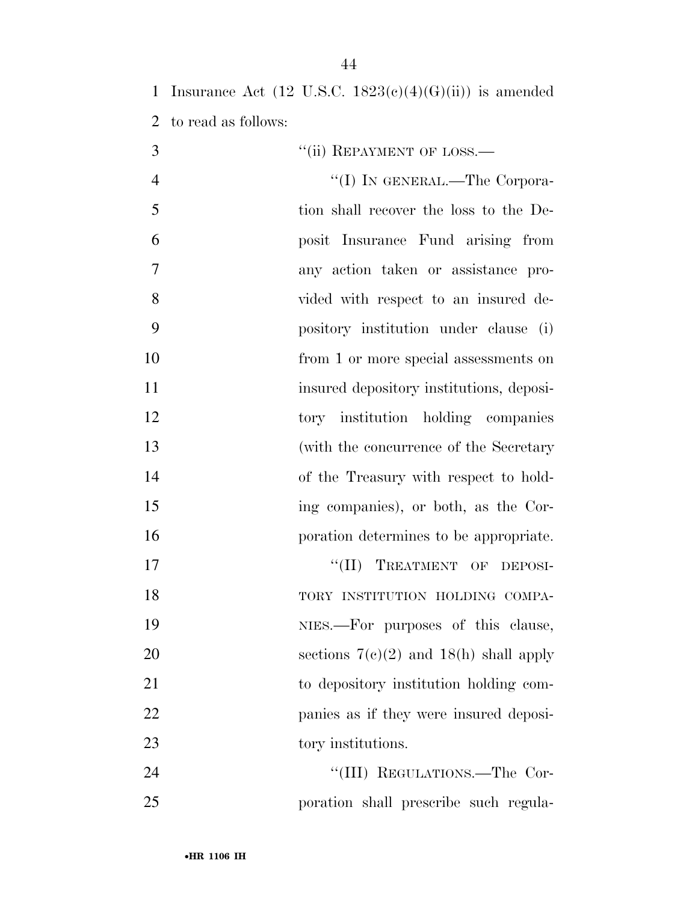| 1              |                     | Insurance Act $(12 \text{ U.S.C. } 1823\text{ (c)}(4)\text{ (G)}\text{ (ii)})$ is amended |
|----------------|---------------------|-------------------------------------------------------------------------------------------|
| $\overline{2}$ | to read as follows: |                                                                                           |
| 3              |                     | "(ii) REPAYMENT OF LOSS.—                                                                 |
| $\overline{4}$ |                     | "(I) IN GENERAL.—The Corpora-                                                             |
| 5              |                     | tion shall recover the loss to the De-                                                    |
| 6              |                     | posit Insurance Fund arising from                                                         |
| 7              |                     | any action taken or assistance pro-                                                       |
| 8              |                     | vided with respect to an insured de-                                                      |
| 9              |                     | pository institution under clause (i)                                                     |
| 10             |                     | from 1 or more special assessments on                                                     |
| 11             |                     | insured depository institutions, deposi-                                                  |
| 12             |                     | tory institution holding companies                                                        |
| 13             |                     | (with the concurrence of the Secretary                                                    |
| 14             |                     | of the Treasury with respect to hold-                                                     |
| 15             |                     | ing companies), or both, as the Cor-                                                      |
| 16             |                     | poration determines to be appropriate.                                                    |
| 17             |                     | TREATMENT OF DEPOSI-<br>``(II)                                                            |
| 18             |                     | TORY INSTITUTION HOLDING COMPA-                                                           |
| 19             |                     | NIES.—For purposes of this clause,                                                        |
| 20             |                     | sections $7(c)(2)$ and $18(h)$ shall apply                                                |
| 21             |                     | to depository institution holding com-                                                    |
| 22             |                     | panies as if they were insured deposi-                                                    |
| 23             |                     | tory institutions.                                                                        |
| 24             |                     | "(III) REGULATIONS.—The Cor-                                                              |
| 25             |                     | poration shall prescribe such regula-                                                     |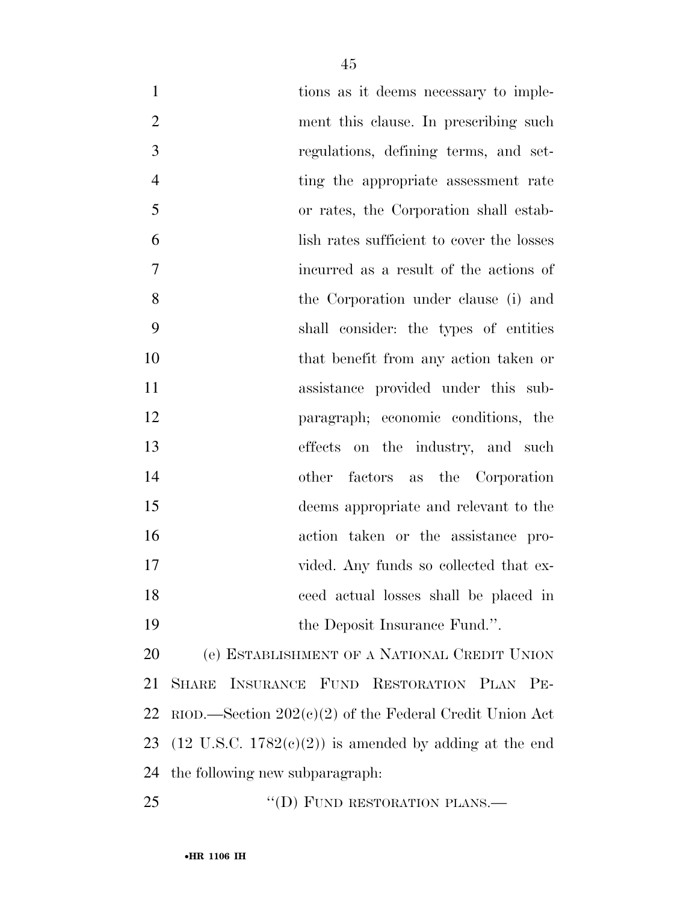| $\mathbf{1}$   | tions as it deems necessary to imple-                             |
|----------------|-------------------------------------------------------------------|
| $\overline{2}$ | ment this clause. In prescribing such                             |
| 3              | regulations, defining terms, and set-                             |
| $\overline{4}$ | ting the appropriate assessment rate                              |
| 5              | or rates, the Corporation shall estab-                            |
| 6              | lish rates sufficient to cover the losses                         |
| 7              | incurred as a result of the actions of                            |
| 8              | the Corporation under clause (i) and                              |
| 9              | shall consider: the types of entities                             |
| 10             | that benefit from any action taken or                             |
| 11             | assistance provided under this sub-                               |
| 12             | paragraph; economic conditions, the                               |
| 13             | effects on the industry, and such                                 |
| 14             | other factors as the Corporation                                  |
| 15             | deems appropriate and relevant to the                             |
| 16             | action taken or the assistance pro-                               |
| 17             | vided. Any funds so collected that ex-                            |
| 18             | ceed actual losses shall be placed in                             |
| 19             | the Deposit Insurance Fund.".                                     |
| 20             | (e) ESTABLISHMENT OF A NATIONAL CREDIT UNION                      |
| 21             | INSURANCE FUND RESTORATION PLAN<br><b>SHARE</b><br>$PE-$          |
| 22             | RIOD.—Section $202(e)(2)$ of the Federal Credit Union Act         |
| 23             | $(12 \text{ U.S.C. } 1782(e)(2))$ is amended by adding at the end |
| 24             | the following new subparagraph.                                   |

25 "(D) FUND RESTORATION PLANS.—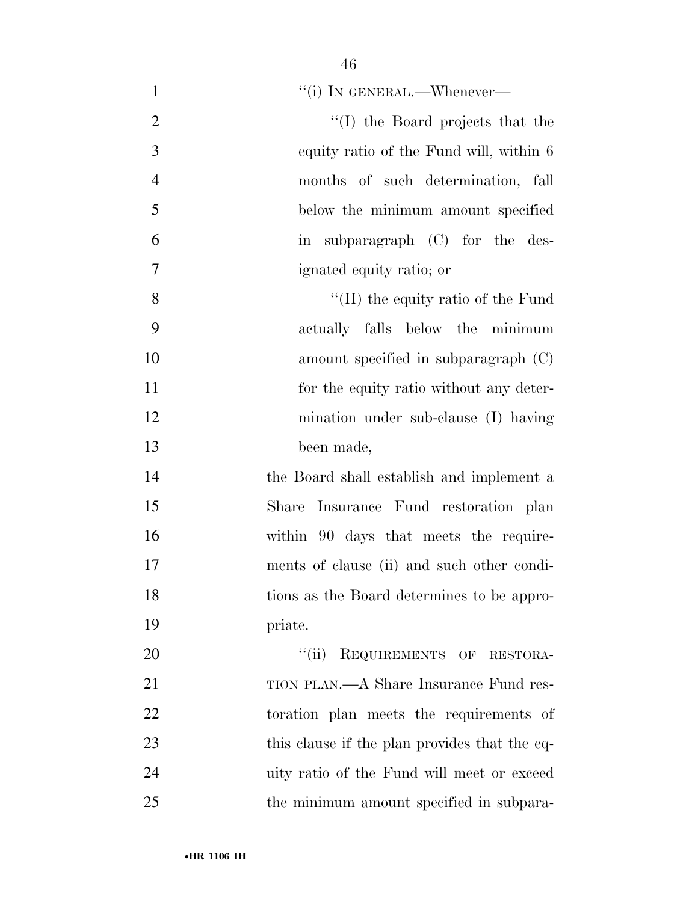| $\mathbf{1}$   | "(i) IN GENERAL.—Whenever—                    |
|----------------|-----------------------------------------------|
| $\overline{2}$ | "(I) the Board projects that the              |
| 3              | equity ratio of the Fund will, within 6       |
| $\overline{4}$ | months of such determination, fall            |
| 5              | below the minimum amount specified            |
| 6              | in subparagraph (C) for the des-              |
| $\overline{7}$ | ignated equity ratio; or                      |
| 8              | "(II) the equity ratio of the Fund            |
| 9              | actually falls below the minimum              |
| 10             | amount specified in subparagraph $(C)$        |
| 11             | for the equity ratio without any deter-       |
| 12             | mination under sub-clause (I) having          |
| 13             | been made,                                    |
| 14             | the Board shall establish and implement a     |
| 15             | Share Insurance Fund restoration plan         |
| 16             | within 90 days that meets the require-        |
| 17             | ments of clause (ii) and such other condi-    |
| 18             | tions as the Board determines to be appro-    |
| 19             | priate.                                       |
| 20             | "(ii) REQUIREMENTS OF RESTORA-                |
| 21             | TION PLAN.—A Share Insurance Fund res-        |
| 22             | toration plan meets the requirements of       |
| 23             | this clause if the plan provides that the eq- |
| 24             | uity ratio of the Fund will meet or exceed    |
| 25             | the minimum amount specified in subpara-      |